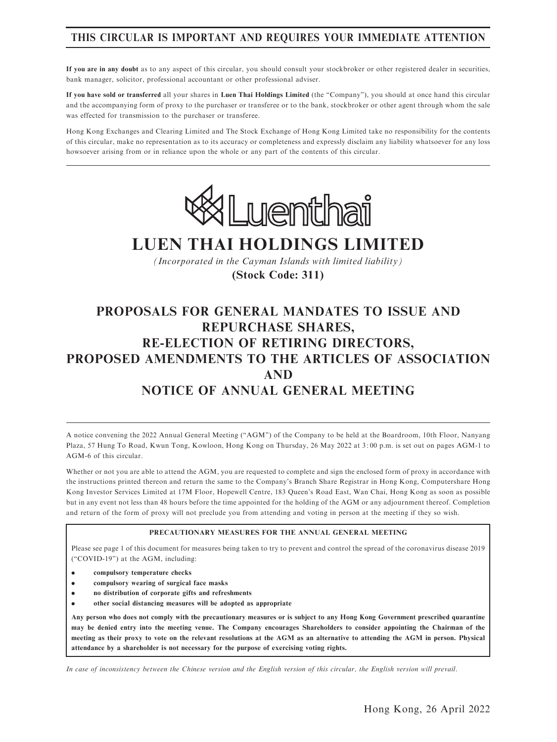# THIS CIRCULAR IS IMPORTANT AND REQUIRES YOUR IMMEDIATE ATTENTION

If you are in any doubt as to any aspect of this circular, you should consult your stockbroker or other registered dealer in securities, bank manager, solicitor, professional accountant or other professional adviser.

If you have sold or transferred all your shares in Luen Thai Holdings Limited (the ''Company''), you should at once hand this circular and the accompanying form of proxy to the purchaser or transferee or to the bank, stockbroker or other agent through whom the sale was effected for transmission to the purchaser or transferee.

Hong Kong Exchanges and Clearing Limited and The Stock Exchange of Hong Kong Limited take no responsibility for the contents of this circular, make no representation as to its accuracy or completeness and expressly disclaim any liability whatsoever for any loss howsoever arising from or in reliance upon the whole or any part of the contents of this circular.



# **LUEN THAI HOLDINGS LIMITED**

*(Incorporated in the Cayman Islands with limited liability)* **(Stock Code: 311)**

# PROPOSALS FOR GENERAL MANDATES TO ISSUE AND REPURCHASE SHARES, RE-ELECTION OF RETIRING DIRECTORS, PROPOSED AMENDMENTS TO THE ARTICLES OF ASSOCIATION AND NOTICE OF ANNUAL GENERAL MEETING

A notice convening the 2022 Annual General Meeting (''AGM'') of the Company to be held at the Boardroom, 10th Floor, Nanyang Plaza, 57 Hung To Road, Kwun Tong, Kowloon, Hong Kong on Thursday, 26 May 2022 at 3: 00 p.m. is set out on pages AGM-1 to AGM-6 of this circular.

Whether or not you are able to attend the AGM, you are requested to complete and sign the enclosed form of proxy in accordance with the instructions printed thereon and return the same to the Company's Branch Share Registrar in Hong Kong, Computershare Hong Kong Investor Services Limited at 17M Floor, Hopewell Centre, 183 Queen's Road East, Wan Chai, Hong Kong as soon as possible but in any event not less than 48 hours before the time appointed for the holding of the AGM or any adjournment thereof. Completion and return of the form of proxy will not preclude you from attending and voting in person at the meeting if they so wish.

### PRECAUTIONARY MEASURES FOR THE ANNUAL GENERAL MEETING

Please see page 1 of this document for measures being taken to try to prevent and control the spread of the coronavirus disease 2019 (''COVID-19'') at the AGM, including:

- . compulsory temperature checks
- . compulsory wearing of surgical face masks
- . no distribution of corporate gifts and refreshments
- . other social distancing measures will be adopted as appropriate

Any person who does not comply with the precautionary measures or is subject to any Hong Kong Government prescribed quarantine may be denied entry into the meeting venue. The Company encourages Shareholders to consider appointing the Chairman of the meeting as their proxy to vote on the relevant resolutions at the AGM as an alternative to attending the AGM in person. Physical attendance by a shareholder is not necessary for the purpose of exercising voting rights.

In case of inconsistency between the Chinese version and the English version of this circular, the English version will prevail.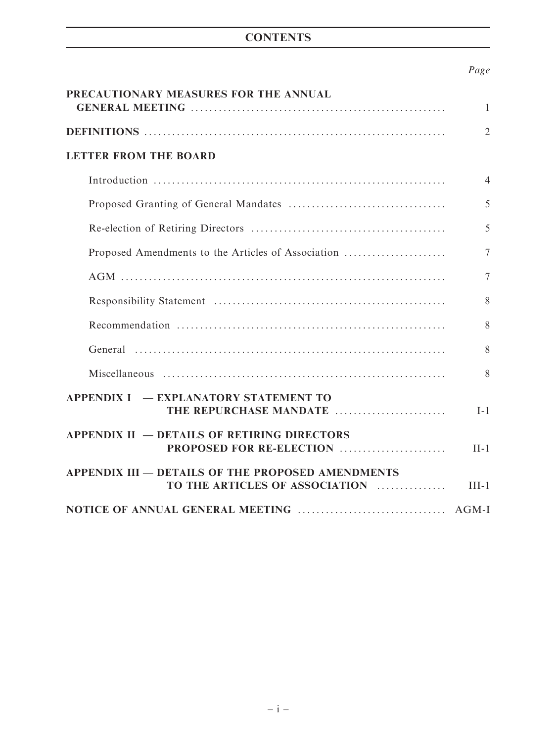# **CONTENTS**

# Page

| PRECAUTIONARY MEASURES FOR THE ANNUAL                                                      | $\mathbf{1}$   |
|--------------------------------------------------------------------------------------------|----------------|
|                                                                                            | $\overline{2}$ |
| <b>LETTER FROM THE BOARD</b>                                                               |                |
|                                                                                            | $\overline{4}$ |
|                                                                                            | 5              |
|                                                                                            | 5              |
| Proposed Amendments to the Articles of Association                                         | 7              |
|                                                                                            | 7              |
|                                                                                            | 8              |
|                                                                                            | 8              |
|                                                                                            | 8              |
|                                                                                            | 8              |
| <b>APPENDIX I – EXPLANATORY STATEMENT TO</b><br>THE REPURCHASE MANDATE                     | $I-1$          |
| <b>APPENDIX II – DETAILS OF RETIRING DIRECTORS</b><br>PROPOSED FOR RE-ELECTION             | $II-1$         |
| <b>APPENDIX III – DETAILS OF THE PROPOSED AMENDMENTS</b><br>TO THE ARTICLES OF ASSOCIATION | $III-1$        |
|                                                                                            |                |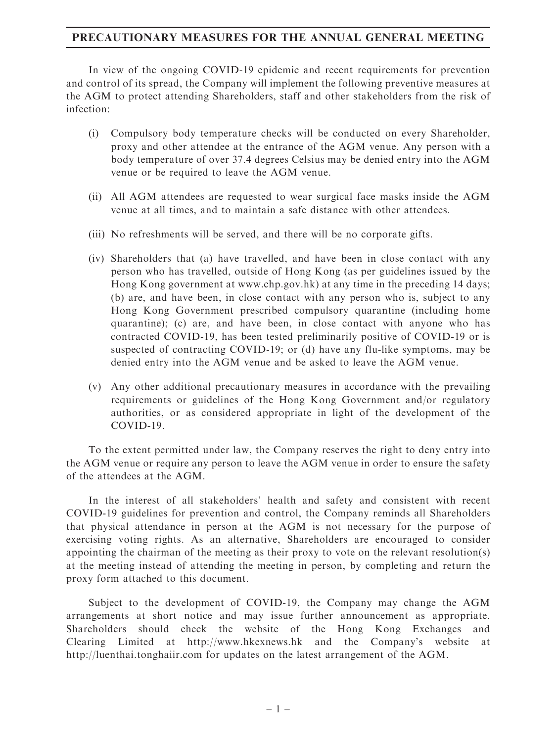# PRECAUTIONARY MEASURES FOR THE ANNUAL GENERAL MEETING

In view of the ongoing COVID-19 epidemic and recent requirements for prevention and control of its spread, the Company will implement the following preventive measures at the AGM to protect attending Shareholders, staff and other stakeholders from the risk of infection:

- (i) Compulsory body temperature checks will be conducted on every Shareholder, proxy and other attendee at the entrance of the AGM venue. Any person with a body temperature of over 37.4 degrees Celsius may be denied entry into the AGM venue or be required to leave the AGM venue.
- (ii) All AGM attendees are requested to wear surgical face masks inside the AGM venue at all times, and to maintain a safe distance with other attendees.
- (iii) No refreshments will be served, and there will be no corporate gifts.
- (iv) Shareholders that (a) have travelled, and have been in close contact with any person who has travelled, outside of Hong Kong (as per guidelines issued by the Hong Kong government at www.chp.gov.hk) at any time in the preceding 14 days; (b) are, and have been, in close contact with any person who is, subject to any Hong Kong Government prescribed compulsory quarantine (including home quarantine); (c) are, and have been, in close contact with anyone who has contracted COVID-19, has been tested preliminarily positive of COVID-19 or is suspected of contracting COVID-19; or (d) have any flu-like symptoms, may be denied entry into the AGM venue and be asked to leave the AGM venue.
- (v) Any other additional precautionary measures in accordance with the prevailing requirements or guidelines of the Hong Kong Government and/or regulatory authorities, or as considered appropriate in light of the development of the COVID-19.

To the extent permitted under law, the Company reserves the right to deny entry into the AGM venue or require any person to leave the AGM venue in order to ensure the safety of the attendees at the AGM.

In the interest of all stakeholders' health and safety and consistent with recent COVID-19 guidelines for prevention and control, the Company reminds all Shareholders that physical attendance in person at the AGM is not necessary for the purpose of exercising voting rights. As an alternative, Shareholders are encouraged to consider appointing the chairman of the meeting as their proxy to vote on the relevant resolution(s) at the meeting instead of attending the meeting in person, by completing and return the proxy form attached to this document.

Subject to the development of COVID-19, the Company may change the AGM arrangements at short notice and may issue further announcement as appropriate. Shareholders should check the website of the Hong Kong Exchanges and Clearing Limited at http://www.hkexnews.hk and the Company's website at http://luenthai.tonghaiir.com for updates on the latest arrangement of the AGM.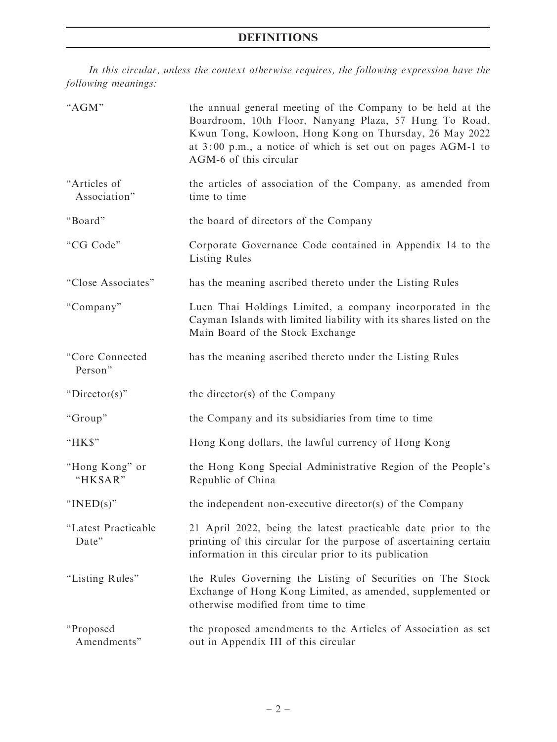In this circular, unless the context otherwise requires, the following expression have the following meanings:

| "AGM"                        | the annual general meeting of the Company to be held at the<br>Boardroom, 10th Floor, Nanyang Plaza, 57 Hung To Road,<br>Kwun Tong, Kowloon, Hong Kong on Thursday, 26 May 2022<br>at 3:00 p.m., a notice of which is set out on pages AGM-1 to<br>AGM-6 of this circular |
|------------------------------|---------------------------------------------------------------------------------------------------------------------------------------------------------------------------------------------------------------------------------------------------------------------------|
| "Articles of<br>Association" | the articles of association of the Company, as amended from<br>time to time                                                                                                                                                                                               |
| "Board"                      | the board of directors of the Company                                                                                                                                                                                                                                     |
| "CG Code"                    | Corporate Governance Code contained in Appendix 14 to the<br>Listing Rules                                                                                                                                                                                                |
| "Close Associates"           | has the meaning ascribed thereto under the Listing Rules                                                                                                                                                                                                                  |
| "Company"                    | Luen Thai Holdings Limited, a company incorporated in the<br>Cayman Islands with limited liability with its shares listed on the<br>Main Board of the Stock Exchange                                                                                                      |
| "Core Connected<br>Person"   | has the meaning ascribed thereto under the Listing Rules                                                                                                                                                                                                                  |
| " $Director(s)$ "            | the director(s) of the Company                                                                                                                                                                                                                                            |
| "Group"                      | the Company and its subsidiaries from time to time                                                                                                                                                                                                                        |
| "HK\$"                       | Hong Kong dollars, the lawful currency of Hong Kong                                                                                                                                                                                                                       |
| "Hong Kong" or<br>"HKSAR"    | the Hong Kong Special Administrative Region of the People's<br>Republic of China                                                                                                                                                                                          |
| " $INED(s)$ "                | the independent non-executive director(s) of the Company                                                                                                                                                                                                                  |
| "Latest Practicable<br>Date" | 21 April 2022, being the latest practicable date prior to the<br>printing of this circular for the purpose of ascertaining certain<br>information in this circular prior to its publication                                                                               |
| "Listing Rules"              | the Rules Governing the Listing of Securities on The Stock<br>Exchange of Hong Kong Limited, as amended, supplemented or<br>otherwise modified from time to time                                                                                                          |
| "Proposed                    | the proposed amendments to the Articles of Association as set                                                                                                                                                                                                             |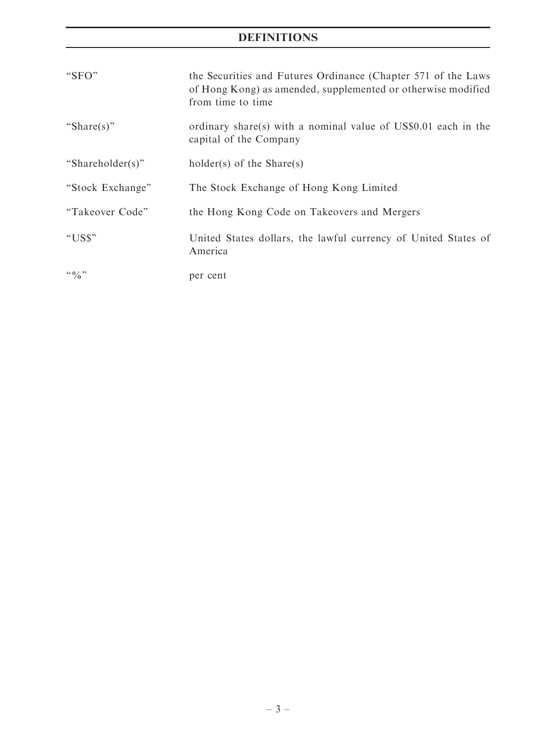# DEFINITIONS

| "SFO"               | the Securities and Futures Ordinance (Chapter 571 of the Laws<br>of Hong Kong) as amended, supplemented or otherwise modified<br>from time to time |
|---------------------|----------------------------------------------------------------------------------------------------------------------------------------------------|
| "Share(s)"          | ordinary share(s) with a nominal value of US\$0.01 each in the<br>capital of the Company                                                           |
| "Shareholder(s)"    | holder(s) of the $Share(s)$                                                                                                                        |
| "Stock Exchange"    | The Stock Exchange of Hong Kong Limited                                                                                                            |
| "Takeover Code"     | the Hong Kong Code on Takeovers and Mergers                                                                                                        |
| "US\$"              | United States dollars, the lawful currency of United States of<br>America                                                                          |
| $\lq\lq 0$ $\lq\lq$ | per cent                                                                                                                                           |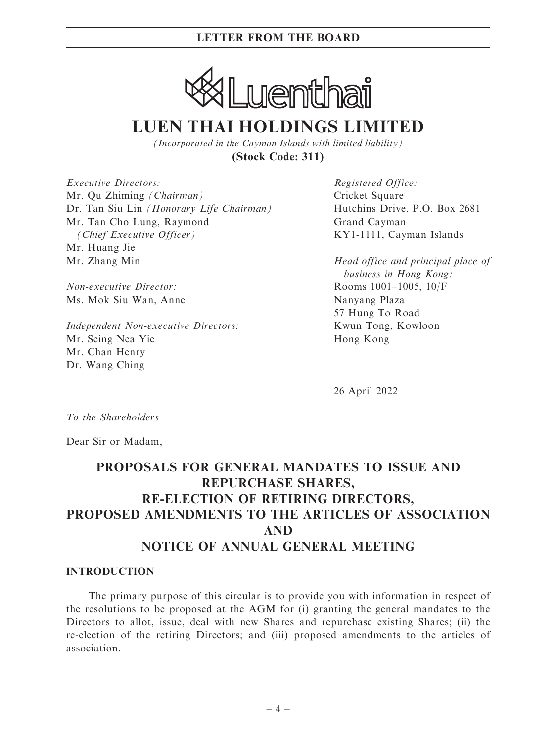

# **LUEN THAI HOLDINGS LIMITED**

*(Incorporated in the Cayman Islands with limited liability)* **(Stock Code: 311)**

Executive Directors: Mr. Qu Zhiming (Chairman) Dr. Tan Siu Lin (Honorary Life Chairman) Mr. Tan Cho Lung, Raymond (Chief Executive Officer) Mr. Huang Jie Mr. Zhang Min

Non-executive Director: Ms. Mok Siu Wan, Anne

Independent Non-executive Directors: Mr. Seing Nea Yie Mr. Chan Henry Dr. Wang Ching

Registered Office: Cricket Square Hutchins Drive, P.O. Box 2681 Grand Cayman KY1-1111, Cayman Islands

Head office and principal place of business in Hong Kong: Rooms 1001–1005, 10/F Nanyang Plaza 57 Hung To Road Kwun Tong, Kowloon Hong Kong

26 April 2022

To the Shareholders

Dear Sir or Madam,

# PROPOSALS FOR GENERAL MANDATES TO ISSUE AND REPURCHASE SHARES, RE-ELECTION OF RETIRING DIRECTORS, PROPOSED AMENDMENTS TO THE ARTICLES OF ASSOCIATION AND NOTICE OF ANNUAL GENERAL MEETING

### INTRODUCTION

The primary purpose of this circular is to provide you with information in respect of the resolutions to be proposed at the AGM for (i) granting the general mandates to the Directors to allot, issue, deal with new Shares and repurchase existing Shares; (ii) the re-election of the retiring Directors; and (iii) proposed amendments to the articles of association.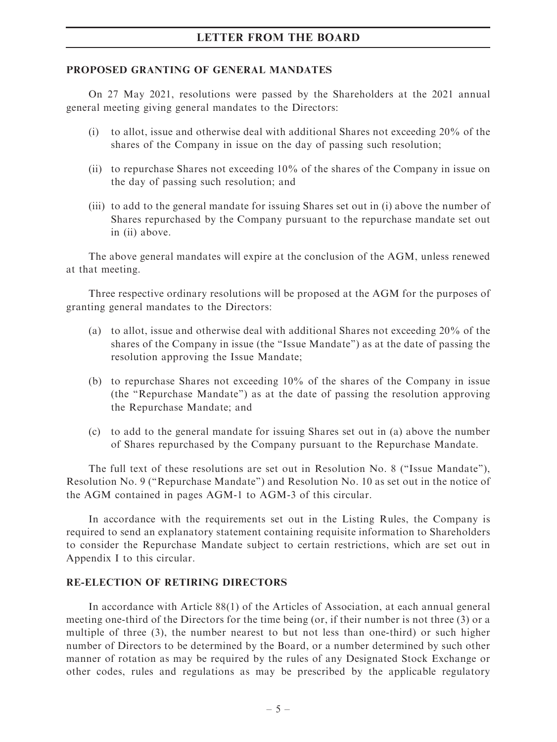### PROPOSED GRANTING OF GENERAL MANDATES

On 27 May 2021, resolutions were passed by the Shareholders at the 2021 annual general meeting giving general mandates to the Directors:

- (i) to allot, issue and otherwise deal with additional Shares not exceeding 20% of the shares of the Company in issue on the day of passing such resolution;
- (ii) to repurchase Shares not exceeding 10% of the shares of the Company in issue on the day of passing such resolution; and
- (iii) to add to the general mandate for issuing Shares set out in (i) above the number of Shares repurchased by the Company pursuant to the repurchase mandate set out in (ii) above.

The above general mandates will expire at the conclusion of the AGM, unless renewed at that meeting.

Three respective ordinary resolutions will be proposed at the AGM for the purposes of granting general mandates to the Directors:

- (a) to allot, issue and otherwise deal with additional Shares not exceeding 20% of the shares of the Company in issue (the ''Issue Mandate'') as at the date of passing the resolution approving the Issue Mandate;
- (b) to repurchase Shares not exceeding 10% of the shares of the Company in issue (the ''Repurchase Mandate'') as at the date of passing the resolution approving the Repurchase Mandate; and
- (c) to add to the general mandate for issuing Shares set out in (a) above the number of Shares repurchased by the Company pursuant to the Repurchase Mandate.

The full text of these resolutions are set out in Resolution No. 8 (''Issue Mandate''), Resolution No. 9 (''Repurchase Mandate'') and Resolution No. 10 as set out in the notice of the AGM contained in pages AGM-1 to AGM-3 of this circular.

In accordance with the requirements set out in the Listing Rules, the Company is required to send an explanatory statement containing requisite information to Shareholders to consider the Repurchase Mandate subject to certain restrictions, which are set out in Appendix I to this circular.

### RE-ELECTION OF RETIRING DIRECTORS

In accordance with Article 88(1) of the Articles of Association, at each annual general meeting one-third of the Directors for the time being (or, if their number is not three (3) or a multiple of three (3), the number nearest to but not less than one-third) or such higher number of Directors to be determined by the Board, or a number determined by such other manner of rotation as may be required by the rules of any Designated Stock Exchange or other codes, rules and regulations as may be prescribed by the applicable regulatory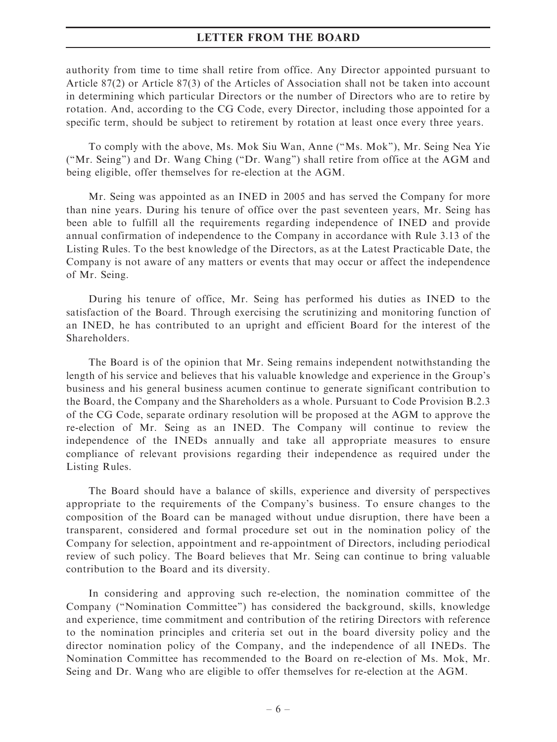authority from time to time shall retire from office. Any Director appointed pursuant to Article 87(2) or Article 87(3) of the Articles of Association shall not be taken into account in determining which particular Directors or the number of Directors who are to retire by rotation. And, according to the CG Code, every Director, including those appointed for a specific term, should be subject to retirement by rotation at least once every three years.

To comply with the above, Ms. Mok Siu Wan, Anne (''Ms. Mok''), Mr. Seing Nea Yie (''Mr. Seing'') and Dr. Wang Ching (''Dr. Wang'') shall retire from office at the AGM and being eligible, offer themselves for re-election at the AGM.

Mr. Seing was appointed as an INED in 2005 and has served the Company for more than nine years. During his tenure of office over the past seventeen years, Mr. Seing has been able to fulfill all the requirements regarding independence of INED and provide annual confirmation of independence to the Company in accordance with Rule 3.13 of the Listing Rules. To the best knowledge of the Directors, as at the Latest Practicable Date, the Company is not aware of any matters or events that may occur or affect the independence of Mr. Seing.

During his tenure of office, Mr. Seing has performed his duties as INED to the satisfaction of the Board. Through exercising the scrutinizing and monitoring function of an INED, he has contributed to an upright and efficient Board for the interest of the Shareholders.

The Board is of the opinion that Mr. Seing remains independent notwithstanding the length of his service and believes that his valuable knowledge and experience in the Group's business and his general business acumen continue to generate significant contribution to the Board, the Company and the Shareholders as a whole. Pursuant to Code Provision B.2.3 of the CG Code, separate ordinary resolution will be proposed at the AGM to approve the re-election of Mr. Seing as an INED. The Company will continue to review the independence of the INEDs annually and take all appropriate measures to ensure compliance of relevant provisions regarding their independence as required under the Listing Rules.

The Board should have a balance of skills, experience and diversity of perspectives appropriate to the requirements of the Company's business. To ensure changes to the composition of the Board can be managed without undue disruption, there have been a transparent, considered and formal procedure set out in the nomination policy of the Company for selection, appointment and re-appointment of Directors, including periodical review of such policy. The Board believes that Mr. Seing can continue to bring valuable contribution to the Board and its diversity.

In considering and approving such re-election, the nomination committee of the Company (''Nomination Committee'') has considered the background, skills, knowledge and experience, time commitment and contribution of the retiring Directors with reference to the nomination principles and criteria set out in the board diversity policy and the director nomination policy of the Company, and the independence of all INEDs. The Nomination Committee has recommended to the Board on re-election of Ms. Mok, Mr. Seing and Dr. Wang who are eligible to offer themselves for re-election at the AGM.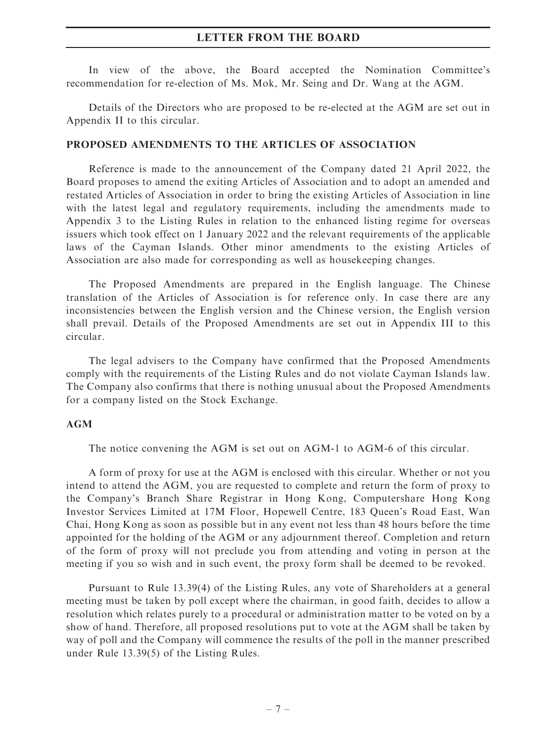In view of the above, the Board accepted the Nomination Committee's recommendation for re-election of Ms. Mok, Mr. Seing and Dr. Wang at the AGM.

Details of the Directors who are proposed to be re-elected at the AGM are set out in Appendix II to this circular.

### PROPOSED AMENDMENTS TO THE ARTICLES OF ASSOCIATION

Reference is made to the announcement of the Company dated 21 April 2022, the Board proposes to amend the exiting Articles of Association and to adopt an amended and restated Articles of Association in order to bring the existing Articles of Association in line with the latest legal and regulatory requirements, including the amendments made to Appendix 3 to the Listing Rules in relation to the enhanced listing regime for overseas issuers which took effect on 1 January 2022 and the relevant requirements of the applicable laws of the Cayman Islands. Other minor amendments to the existing Articles of Association are also made for corresponding as well as housekeeping changes.

The Proposed Amendments are prepared in the English language. The Chinese translation of the Articles of Association is for reference only. In case there are any inconsistencies between the English version and the Chinese version, the English version shall prevail. Details of the Proposed Amendments are set out in Appendix III to this circular.

The legal advisers to the Company have confirmed that the Proposed Amendments comply with the requirements of the Listing Rules and do not violate Cayman Islands law. The Company also confirms that there is nothing unusual about the Proposed Amendments for a company listed on the Stock Exchange.

### AGM

The notice convening the AGM is set out on AGM-1 to AGM-6 of this circular.

A form of proxy for use at the AGM is enclosed with this circular. Whether or not you intend to attend the AGM, you are requested to complete and return the form of proxy to the Company's Branch Share Registrar in Hong Kong, Computershare Hong Kong Investor Services Limited at 17M Floor, Hopewell Centre, 183 Queen's Road East, Wan Chai, Hong Kong as soon as possible but in any event not less than 48 hours before the time appointed for the holding of the AGM or any adjournment thereof. Completion and return of the form of proxy will not preclude you from attending and voting in person at the meeting if you so wish and in such event, the proxy form shall be deemed to be revoked.

Pursuant to Rule 13.39(4) of the Listing Rules, any vote of Shareholders at a general meeting must be taken by poll except where the chairman, in good faith, decides to allow a resolution which relates purely to a procedural or administration matter to be voted on by a show of hand. Therefore, all proposed resolutions put to vote at the AGM shall be taken by way of poll and the Company will commence the results of the poll in the manner prescribed under Rule 13.39(5) of the Listing Rules.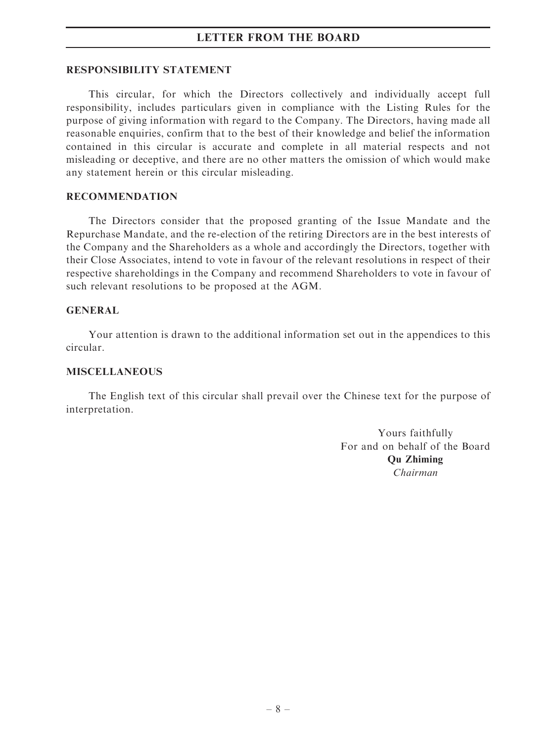### RESPONSIBILITY STATEMENT

This circular, for which the Directors collectively and individually accept full responsibility, includes particulars given in compliance with the Listing Rules for the purpose of giving information with regard to the Company. The Directors, having made all reasonable enquiries, confirm that to the best of their knowledge and belief the information contained in this circular is accurate and complete in all material respects and not misleading or deceptive, and there are no other matters the omission of which would make any statement herein or this circular misleading.

### RECOMMENDATION

The Directors consider that the proposed granting of the Issue Mandate and the Repurchase Mandate, and the re-election of the retiring Directors are in the best interests of the Company and the Shareholders as a whole and accordingly the Directors, together with their Close Associates, intend to vote in favour of the relevant resolutions in respect of their respective shareholdings in the Company and recommend Shareholders to vote in favour of such relevant resolutions to be proposed at the AGM.

## GENERAL

Your attention is drawn to the additional information set out in the appendices to this circular.

### MISCELLANEOUS

The English text of this circular shall prevail over the Chinese text for the purpose of interpretation.

> Yours faithfully For and on behalf of the Board Qu Zhiming Chairman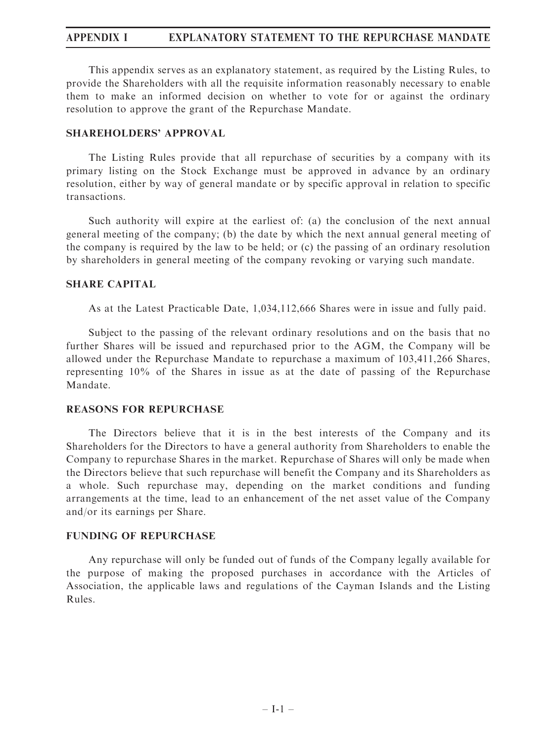# APPENDIX I EXPLANATORY STATEMENT TO THE REPURCHASE MANDATE

This appendix serves as an explanatory statement, as required by the Listing Rules, to provide the Shareholders with all the requisite information reasonably necessary to enable them to make an informed decision on whether to vote for or against the ordinary resolution to approve the grant of the Repurchase Mandate.

## SHAREHOLDERS' APPROVAL

The Listing Rules provide that all repurchase of securities by a company with its primary listing on the Stock Exchange must be approved in advance by an ordinary resolution, either by way of general mandate or by specific approval in relation to specific transactions.

Such authority will expire at the earliest of: (a) the conclusion of the next annual general meeting of the company; (b) the date by which the next annual general meeting of the company is required by the law to be held; or (c) the passing of an ordinary resolution by shareholders in general meeting of the company revoking or varying such mandate.

## SHARE CAPITAL

As at the Latest Practicable Date, 1,034,112,666 Shares were in issue and fully paid.

Subject to the passing of the relevant ordinary resolutions and on the basis that no further Shares will be issued and repurchased prior to the AGM, the Company will be allowed under the Repurchase Mandate to repurchase a maximum of 103,411,266 Shares, representing 10% of the Shares in issue as at the date of passing of the Repurchase Mandate.

### REASONS FOR REPURCHASE

The Directors believe that it is in the best interests of the Company and its Shareholders for the Directors to have a general authority from Shareholders to enable the Company to repurchase Shares in the market. Repurchase of Shares will only be made when the Directors believe that such repurchase will benefit the Company and its Shareholders as a whole. Such repurchase may, depending on the market conditions and funding arrangements at the time, lead to an enhancement of the net asset value of the Company and/or its earnings per Share.

## FUNDING OF REPURCHASE

Any repurchase will only be funded out of funds of the Company legally available for the purpose of making the proposed purchases in accordance with the Articles of Association, the applicable laws and regulations of the Cayman Islands and the Listing Rules.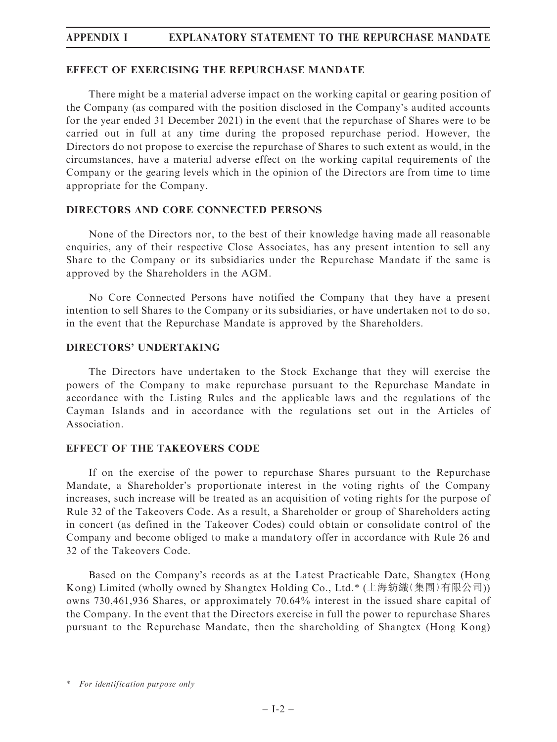# APPENDIX I EXPLANATORY STATEMENT TO THE REPURCHASE MANDATE

### EFFECT OF EXERCISING THE REPURCHASE MANDATE

There might be a material adverse impact on the working capital or gearing position of the Company (as compared with the position disclosed in the Company's audited accounts for the year ended 31 December 2021) in the event that the repurchase of Shares were to be carried out in full at any time during the proposed repurchase period. However, the Directors do not propose to exercise the repurchase of Shares to such extent as would, in the circumstances, have a material adverse effect on the working capital requirements of the Company or the gearing levels which in the opinion of the Directors are from time to time appropriate for the Company.

## DIRECTORS AND CORE CONNECTED PERSONS

None of the Directors nor, to the best of their knowledge having made all reasonable enquiries, any of their respective Close Associates, has any present intention to sell any Share to the Company or its subsidiaries under the Repurchase Mandate if the same is approved by the Shareholders in the AGM.

No Core Connected Persons have notified the Company that they have a present intention to sell Shares to the Company or its subsidiaries, or have undertaken not to do so, in the event that the Repurchase Mandate is approved by the Shareholders.

## DIRECTORS' UNDERTAKING

The Directors have undertaken to the Stock Exchange that they will exercise the powers of the Company to make repurchase pursuant to the Repurchase Mandate in accordance with the Listing Rules and the applicable laws and the regulations of the Cayman Islands and in accordance with the regulations set out in the Articles of Association.

### EFFECT OF THE TAKEOVERS CODE

If on the exercise of the power to repurchase Shares pursuant to the Repurchase Mandate, a Shareholder's proportionate interest in the voting rights of the Company increases, such increase will be treated as an acquisition of voting rights for the purpose of Rule 32 of the Takeovers Code. As a result, a Shareholder or group of Shareholders acting in concert (as defined in the Takeover Codes) could obtain or consolidate control of the Company and become obliged to make a mandatory offer in accordance with Rule 26 and 32 of the Takeovers Code.

Based on the Company's records as at the Latest Practicable Date, Shangtex (Hong Kong) Limited (wholly owned by Shangtex Holding Co., Ltd.\* (上海紡織(集團)有限公司)) owns 730,461,936 Shares, or approximately 70.64% interest in the issued share capital of the Company. In the event that the Directors exercise in full the power to repurchase Shares pursuant to the Repurchase Mandate, then the shareholding of Shangtex (Hong Kong)

<sup>\*</sup> For identification purpose only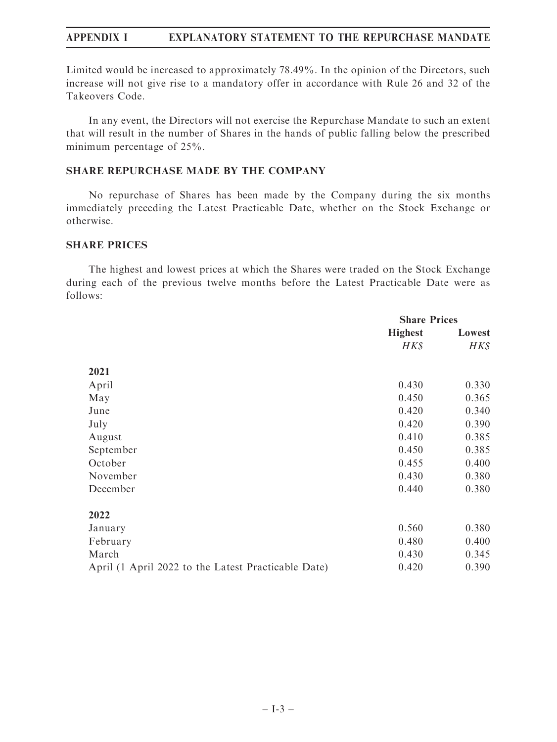# APPENDIX I EXPLANATORY STATEMENT TO THE REPURCHASE MANDATE

Limited would be increased to approximately 78.49%. In the opinion of the Directors, such increase will not give rise to a mandatory offer in accordance with Rule 26 and 32 of the Takeovers Code.

In any event, the Directors will not exercise the Repurchase Mandate to such an extent that will result in the number of Shares in the hands of public falling below the prescribed minimum percentage of 25%.

## SHARE REPURCHASE MADE BY THE COMPANY

No repurchase of Shares has been made by the Company during the six months immediately preceding the Latest Practicable Date, whether on the Stock Exchange or otherwise.

### SHARE PRICES

The highest and lowest prices at which the Shares were traded on the Stock Exchange during each of the previous twelve months before the Latest Practicable Date were as follows:

|                                                     | <b>Share Prices</b> |        |
|-----------------------------------------------------|---------------------|--------|
|                                                     | <b>Highest</b>      | Lowest |
|                                                     | HK\$                | HK\$   |
| 2021                                                |                     |        |
| April                                               | 0.430               | 0.330  |
| May                                                 | 0.450               | 0.365  |
| June                                                | 0.420               | 0.340  |
| July                                                | 0.420               | 0.390  |
| August                                              | 0.410               | 0.385  |
| September                                           | 0.450               | 0.385  |
| October                                             | 0.455               | 0.400  |
| November                                            | 0.430               | 0.380  |
| December                                            | 0.440               | 0.380  |
| 2022                                                |                     |        |
| January                                             | 0.560               | 0.380  |
| February                                            | 0.480               | 0.400  |
| March                                               | 0.430               | 0.345  |
| April (1 April 2022 to the Latest Practicable Date) | 0.420               | 0.390  |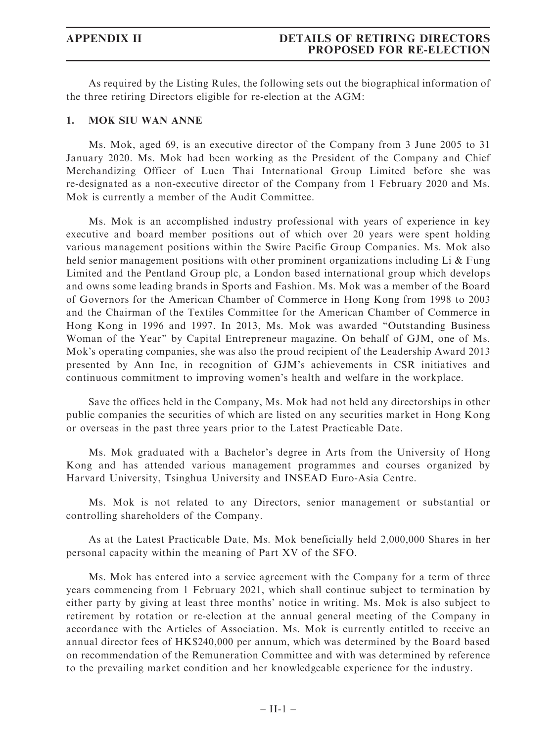As required by the Listing Rules, the following sets out the biographical information of the three retiring Directors eligible for re-election at the AGM:

### 1. MOK SIU WAN ANNE

Ms. Mok, aged 69, is an executive director of the Company from 3 June 2005 to 31 January 2020. Ms. Mok had been working as the President of the Company and Chief Merchandizing Officer of Luen Thai International Group Limited before she was re-designated as a non-executive director of the Company from 1 February 2020 and Ms. Mok is currently a member of the Audit Committee.

Ms. Mok is an accomplished industry professional with years of experience in key executive and board member positions out of which over 20 years were spent holding various management positions within the Swire Pacific Group Companies. Ms. Mok also held senior management positions with other prominent organizations including Li  $\&$  Fung Limited and the Pentland Group plc, a London based international group which develops and owns some leading brands in Sports and Fashion. Ms. Mok was a member of the Board of Governors for the American Chamber of Commerce in Hong Kong from 1998 to 2003 and the Chairman of the Textiles Committee for the American Chamber of Commerce in Hong Kong in 1996 and 1997. In 2013, Ms. Mok was awarded ''Outstanding Business Woman of the Year'' by Capital Entrepreneur magazine. On behalf of GJM, one of Ms. Mok's operating companies, she was also the proud recipient of the Leadership Award 2013 presented by Ann Inc, in recognition of GJM's achievements in CSR initiatives and continuous commitment to improving women's health and welfare in the workplace.

Save the offices held in the Company, Ms. Mok had not held any directorships in other public companies the securities of which are listed on any securities market in Hong Kong or overseas in the past three years prior to the Latest Practicable Date.

Ms. Mok graduated with a Bachelor's degree in Arts from the University of Hong Kong and has attended various management programmes and courses organized by Harvard University, Tsinghua University and INSEAD Euro-Asia Centre.

Ms. Mok is not related to any Directors, senior management or substantial or controlling shareholders of the Company.

As at the Latest Practicable Date, Ms. Mok beneficially held 2,000,000 Shares in her personal capacity within the meaning of Part XV of the SFO.

Ms. Mok has entered into a service agreement with the Company for a term of three years commencing from 1 February 2021, which shall continue subject to termination by either party by giving at least three months' notice in writing. Ms. Mok is also subject to retirement by rotation or re-election at the annual general meeting of the Company in accordance with the Articles of Association. Ms. Mok is currently entitled to receive an annual director fees of HK\$240,000 per annum, which was determined by the Board based on recommendation of the Remuneration Committee and with was determined by reference to the prevailing market condition and her knowledgeable experience for the industry.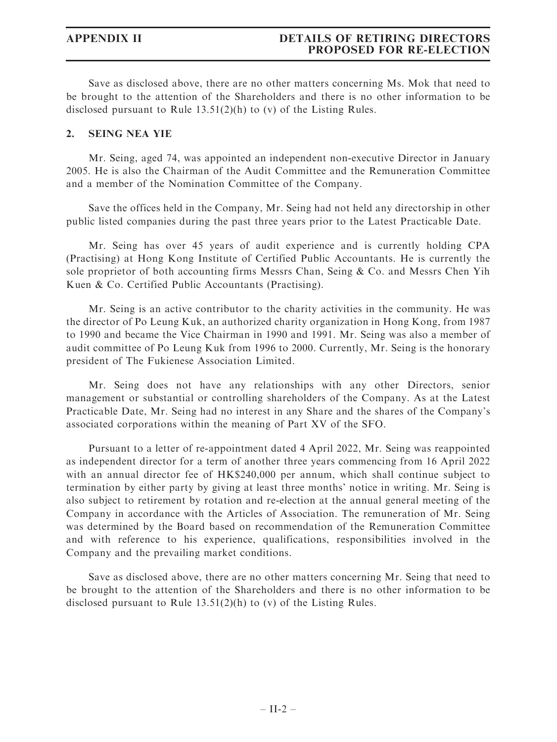# APPENDIX II DETAILS OF RETIRING DIRECTORS PROPOSED FOR RE-ELECTION

Save as disclosed above, there are no other matters concerning Ms. Mok that need to be brought to the attention of the Shareholders and there is no other information to be disclosed pursuant to Rule 13.51(2)(h) to (v) of the Listing Rules.

### 2. SEING NEA YIE

Mr. Seing, aged 74, was appointed an independent non-executive Director in January 2005. He is also the Chairman of the Audit Committee and the Remuneration Committee and a member of the Nomination Committee of the Company.

Save the offices held in the Company, Mr. Seing had not held any directorship in other public listed companies during the past three years prior to the Latest Practicable Date.

Mr. Seing has over 45 years of audit experience and is currently holding CPA (Practising) at Hong Kong Institute of Certified Public Accountants. He is currently the sole proprietor of both accounting firms Messrs Chan, Seing & Co. and Messrs Chen Yih Kuen & Co. Certified Public Accountants (Practising).

Mr. Seing is an active contributor to the charity activities in the community. He was the director of Po Leung Kuk, an authorized charity organization in Hong Kong, from 1987 to 1990 and became the Vice Chairman in 1990 and 1991. Mr. Seing was also a member of audit committee of Po Leung Kuk from 1996 to 2000. Currently, Mr. Seing is the honorary president of The Fukienese Association Limited.

Mr. Seing does not have any relationships with any other Directors, senior management or substantial or controlling shareholders of the Company. As at the Latest Practicable Date, Mr. Seing had no interest in any Share and the shares of the Company's associated corporations within the meaning of Part XV of the SFO.

Pursuant to a letter of re-appointment dated 4 April 2022, Mr. Seing was reappointed as independent director for a term of another three years commencing from 16 April 2022 with an annual director fee of HK\$240,000 per annum, which shall continue subject to termination by either party by giving at least three months' notice in writing. Mr. Seing is also subject to retirement by rotation and re-election at the annual general meeting of the Company in accordance with the Articles of Association. The remuneration of Mr. Seing was determined by the Board based on recommendation of the Remuneration Committee and with reference to his experience, qualifications, responsibilities involved in the Company and the prevailing market conditions.

Save as disclosed above, there are no other matters concerning Mr. Seing that need to be brought to the attention of the Shareholders and there is no other information to be disclosed pursuant to Rule 13.51(2)(h) to (v) of the Listing Rules.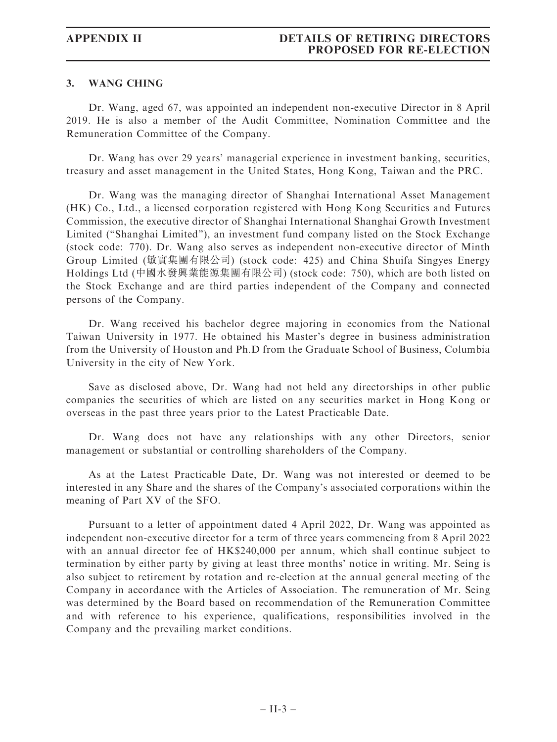# APPENDIX II DETAILS OF RETIRING DIRECTORS PROPOSED FOR RE-ELECTION

### 3. WANG CHING

Dr. Wang, aged 67, was appointed an independent non-executive Director in 8 April 2019. He is also a member of the Audit Committee, Nomination Committee and the Remuneration Committee of the Company.

Dr. Wang has over 29 years' managerial experience in investment banking, securities, treasury and asset management in the United States, Hong Kong, Taiwan and the PRC.

Dr. Wang was the managing director of Shanghai International Asset Management (HK) Co., Ltd., a licensed corporation registered with Hong Kong Securities and Futures Commission, the executive director of Shanghai International Shanghai Growth Investment Limited (''Shanghai Limited''), an investment fund company listed on the Stock Exchange (stock code: 770). Dr. Wang also serves as independent non-executive director of Minth Group Limited (敏實集團有限公司) (stock code: 425) and China Shuifa Singyes Energy Holdings Ltd (中國水發興業能源集團有限公司) (stock code: 750), which are both listed on the Stock Exchange and are third parties independent of the Company and connected persons of the Company.

Dr. Wang received his bachelor degree majoring in economics from the National Taiwan University in 1977. He obtained his Master's degree in business administration from the University of Houston and Ph.D from the Graduate School of Business, Columbia University in the city of New York.

Save as disclosed above, Dr. Wang had not held any directorships in other public companies the securities of which are listed on any securities market in Hong Kong or overseas in the past three years prior to the Latest Practicable Date.

Dr. Wang does not have any relationships with any other Directors, senior management or substantial or controlling shareholders of the Company.

As at the Latest Practicable Date, Dr. Wang was not interested or deemed to be interested in any Share and the shares of the Company's associated corporations within the meaning of Part XV of the SFO.

Pursuant to a letter of appointment dated 4 April 2022, Dr. Wang was appointed as independent non-executive director for a term of three years commencing from 8 April 2022 with an annual director fee of HK\$240,000 per annum, which shall continue subject to termination by either party by giving at least three months' notice in writing. Mr. Seing is also subject to retirement by rotation and re-election at the annual general meeting of the Company in accordance with the Articles of Association. The remuneration of Mr. Seing was determined by the Board based on recommendation of the Remuneration Committee and with reference to his experience, qualifications, responsibilities involved in the Company and the prevailing market conditions.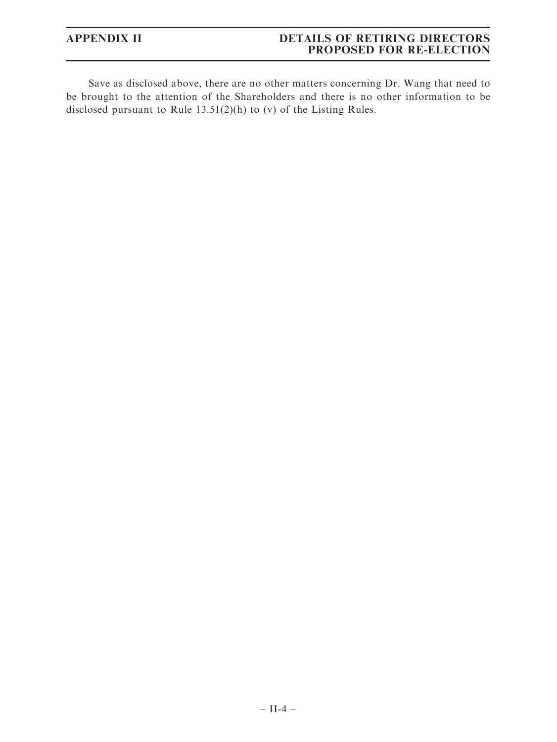# APPENDIX II DETAILS OF RETIRING DIRECTORS PROPOSED FOR RE-ELECTION

Save as disclosed above, there are no other matters concerning Dr. Wang that need to be brought to the attention of the Shareholders and there is no other information to be disclosed pursuant to Rule 13.51(2)(h) to (v) of the Listing Rules.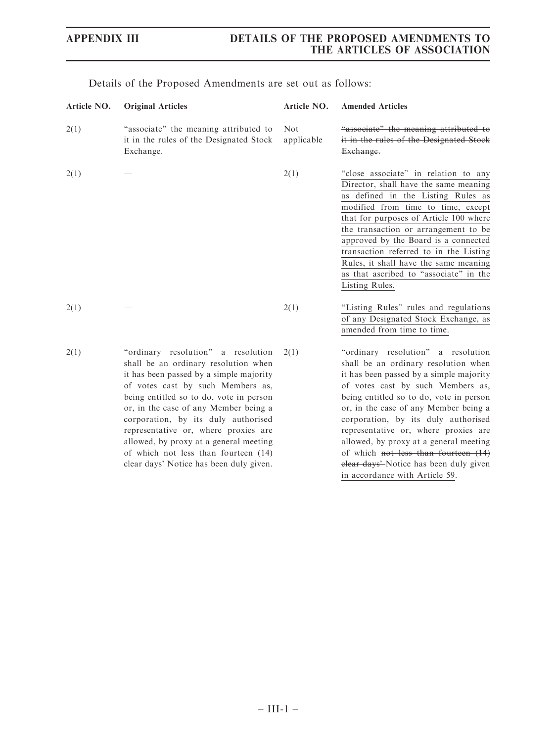| Article NO. | <b>Original Articles</b>                                                                                                                                                                                                                                                                                                                                                                                                                                   | Article NO.              | <b>Amended Articles</b>                                                                                                                                                                                                                                                                                                                                                                                                                                                                     |
|-------------|------------------------------------------------------------------------------------------------------------------------------------------------------------------------------------------------------------------------------------------------------------------------------------------------------------------------------------------------------------------------------------------------------------------------------------------------------------|--------------------------|---------------------------------------------------------------------------------------------------------------------------------------------------------------------------------------------------------------------------------------------------------------------------------------------------------------------------------------------------------------------------------------------------------------------------------------------------------------------------------------------|
| 2(1)        | "associate" the meaning attributed to<br>it in the rules of the Designated Stock<br>Exchange.                                                                                                                                                                                                                                                                                                                                                              | <b>Not</b><br>applicable | "associate" the meaning attributed to<br>it in the rules of the Designated Stock<br>Exchange.                                                                                                                                                                                                                                                                                                                                                                                               |
| 2(1)        |                                                                                                                                                                                                                                                                                                                                                                                                                                                            | 2(1)                     | "close associate" in relation to any<br>Director, shall have the same meaning<br>as defined in the Listing Rules as<br>modified from time to time, except<br>that for purposes of Article 100 where<br>the transaction or arrangement to be<br>approved by the Board is a connected<br>transaction referred to in the Listing<br>Rules, it shall have the same meaning<br>as that ascribed to "associate" in the<br>Listing Rules.                                                          |
| 2(1)        |                                                                                                                                                                                                                                                                                                                                                                                                                                                            | 2(1)                     | "Listing Rules" rules and regulations<br>of any Designated Stock Exchange, as<br>amended from time to time.                                                                                                                                                                                                                                                                                                                                                                                 |
| 2(1)        | "ordinary resolution" a resolution<br>shall be an ordinary resolution when<br>it has been passed by a simple majority<br>of votes cast by such Members as,<br>being entitled so to do, vote in person<br>or, in the case of any Member being a<br>corporation, by its duly authorised<br>representative or, where proxies are<br>allowed, by proxy at a general meeting<br>of which not less than fourteen (14)<br>clear days' Notice has been duly given. | 2(1)                     | "ordinary resolution" a resolution<br>shall be an ordinary resolution when<br>it has been passed by a simple majority<br>of votes cast by such Members as,<br>being entitled so to do, vote in person<br>or, in the case of any Member being a<br>corporation, by its duly authorised<br>representative or, where proxies are<br>allowed, by proxy at a general meeting<br>of which not less than fourteen (14)<br>elear days'-Notice has been duly given<br>in accordance with Article 59. |

Details of the Proposed Amendments are set out as follows: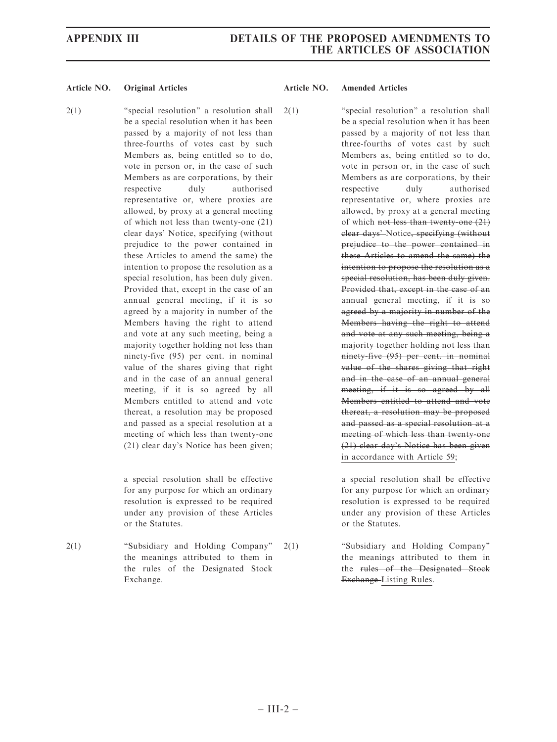2(1) "special resolution" a resolution shall be a special resolution when it has been passed by a majority of not less than three-fourths of votes cast by such Members as, being entitled so to do, vote in person or, in the case of such Members as are corporations, by their respective duly authorised representative or, where proxies are allowed, by proxy at a general meeting of which not less than twenty-one (21) clear days' Notice, specifying (without prejudice to the power contained in these Articles to amend the same) the intention to propose the resolution as a special resolution, has been duly given. Provided that, except in the case of an annual general meeting, if it is so agreed by a majority in number of the Members having the right to attend and vote at any such meeting, being a majority together holding not less than ninety-five (95) per cent. in nominal value of the shares giving that right and in the case of an annual general meeting, if it is so agreed by all Members entitled to attend and vote thereat, a resolution may be proposed and passed as a special resolution at a meeting of which less than twenty-one (21) clear day's Notice has been given;

> a special resolution shall be effective for any purpose for which an ordinary resolution is expressed to be required under any provision of these Articles or the Statutes.

2(1) ''Subsidiary and Holding Company'' the meanings attributed to them in the rules of the Designated Stock Exchange.

2(1) ''special resolution'' a resolution shall be a special resolution when it has been passed by a majority of not less than three-fourths of votes cast by such Members as, being entitled so to do, vote in person or, in the case of such Members as are corporations, by their respective duly authorised representative or, where proxies are allowed, by proxy at a general meeting of which not less than twenty-one (21) clear days' Notice, specifying (without prejudice to the power contained in these Articles to amend the same) the intention to propose the resolution as a special resolution, has been duly given. Provided that, except in the case of an annual general meeting, if it is so agreed by a majority in number of the Members having the right to attend and vote at any such meeting, being a majority together holding not less than ninety-five (95) per cent. in nominal value of the shares giving that right and in the case of an annual general meeting, if it is so agreed by all Members entitled to attend and vote thereat, a resolution may be proposed and passed as a special resolution at a meeting of which less than twenty-one (21) clear day's Notice has been given in accordance with Article 59;

> a special resolution shall be effective for any purpose for which an ordinary resolution is expressed to be required under any provision of these Articles or the Statutes.

2(1) ''Subsidiary and Holding Company'' the meanings attributed to them in the rules of the Designated Stock Exchange Listing Rules.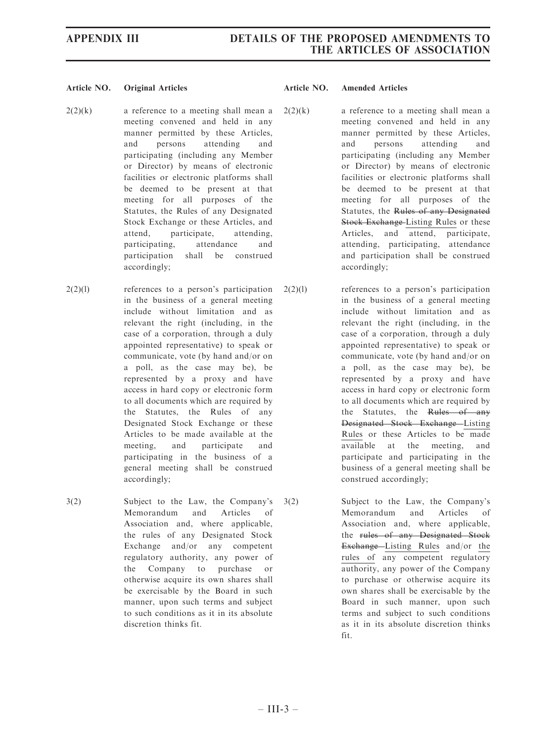- $2(2)(k)$  a reference to a meeting shall mean a meeting convened and held in any manner permitted by these Articles, and persons attending and participating (including any Member or Director) by means of electronic facilities or electronic platforms shall be deemed to be present at that meeting for all purposes of the Statutes, the Rules of any Designated Stock Exchange or these Articles, and attend, participate, attending, participating, attendance and participation shall be construed accordingly;
- 2(2)(l) references to a person's participation in the business of a general meeting include without limitation and as relevant the right (including, in the case of a corporation, through a duly appointed representative) to speak or communicate, vote (by hand and/or on a poll, as the case may be), be represented by a proxy and have access in hard copy or electronic form to all documents which are required by the Statutes, the Rules of any Designated Stock Exchange or these Articles to be made available at the meeting, and participate and participating in the business of a general meeting shall be construed accordingly;
- 3(2) Subject to the Law, the Company's Memorandum and Articles of Association and, where applicable, the rules of any Designated Stock Exchange and/or any competent regulatory authority, any power of the Company to purchase or otherwise acquire its own shares shall be exercisable by the Board in such manner, upon such terms and subject to such conditions as it in its absolute discretion thinks fit.

- $2(2)(k)$  a reference to a meeting shall mean a meeting convened and held in any manner permitted by these Articles, and persons attending and participating (including any Member or Director) by means of electronic facilities or electronic platforms shall be deemed to be present at that meeting for all purposes of the Statutes, the Rules of any Designated Stock Exchange-Listing Rules or these Articles, and attend, participate, attending, participating, attendance and participation shall be construed accordingly;
- 2(2)(l) references to a person's participation in the business of a general meeting include without limitation and as relevant the right (including, in the case of a corporation, through a duly appointed representative) to speak or communicate, vote (by hand and/or on a poll, as the case may be), be represented by a proxy and have access in hard copy or electronic form to all documents which are required by the Statutes, the Rules of any Designated Stock Exchange Listing Rules or these Articles to be made available at the meeting, and participate and participating in the business of a general meeting shall be construed accordingly;
- 3(2) Subject to the Law, the Company's Memorandum and Articles of Association and, where applicable, the rules of any Designated Stock Exchange Listing Rules and/or the rules of any competent regulatory authority, any power of the Company to purchase or otherwise acquire its own shares shall be exercisable by the Board in such manner, upon such terms and subject to such conditions as it in its absolute discretion thinks fit.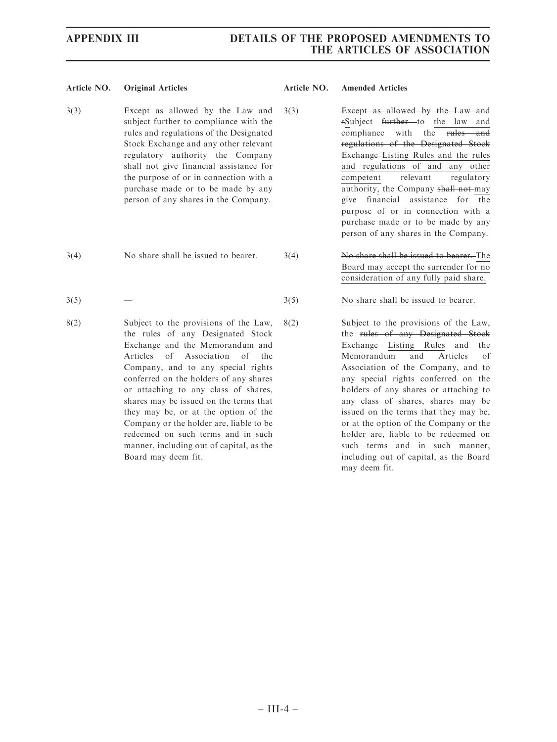- 3(3) Except as allowed by the Law and subject further to compliance with the rules and regulations of the Designated Stock Exchange and any other relevant regulatory authority the Company shall not give financial assistance for the purpose of or in connection with a purchase made or to be made by any person of any shares in the Company.
- 
- $3(5)$  3(5) No share shall be issued to bearer.
- 8(2) Subject to the provisions of the Law, the rules of any Designated Stock Exchange and the Memorandum and Articles of Association of the Company, and to any special rights conferred on the holders of any shares or attaching to any class of shares, shares may be issued on the terms that they may be, or at the option of the Company or the holder are, liable to be redeemed on such terms and in such manner, including out of capital, as the Board may deem fit.

- 3(3) Except as allowed by the Law and sSubject further to the law and compliance with the rules and regulations of the Designated Stock Exchange–Listing Rules and the rules and regulations of and any other competent relevant regulatory authority, the Company shall not-may give financial assistance for the purpose of or in connection with a purchase made or to be made by any person of any shares in the Company.
- 3(4) No share shall be issued to bearer. 3(4) No share shall be issued to bearer. The Board may accept the surrender for no consideration of any fully paid share.
	-
	- 8(2) Subject to the provisions of the Law, the rules of any Designated Stock Exchange Listing Rules and the Memorandum and Articles of Association of the Company, and to any special rights conferred on the holders of any shares or attaching to any class of shares, shares may be issued on the terms that they may be, or at the option of the Company or the holder are, liable to be redeemed on such terms and in such manner, including out of capital, as the Board may deem fit.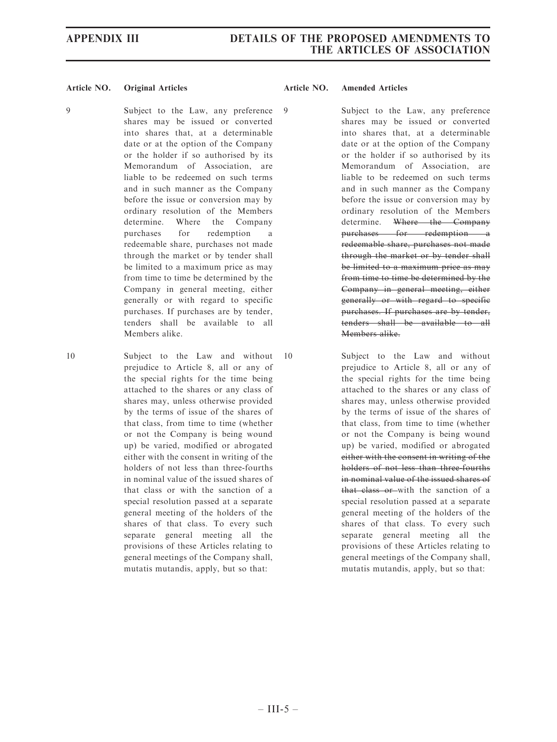9 Subject to the Law, any preference shares may be issued or converted into shares that, at a determinable date or at the option of the Company or the holder if so authorised by its Memorandum of Association, are liable to be redeemed on such terms and in such manner as the Company before the issue or conversion may by ordinary resolution of the Members determine. Where the Company purchases for redemption a redeemable share, purchases not made through the market or by tender shall be limited to a maximum price as may from time to time be determined by the Company in general meeting, either generally or with regard to specific purchases. If purchases are by tender, tenders shall be available to all Members alike.

10 Subject to the Law and without prejudice to Article 8, all or any of the special rights for the time being attached to the shares or any class of shares may, unless otherwise provided by the terms of issue of the shares of that class, from time to time (whether or not the Company is being wound up) be varied, modified or abrogated either with the consent in writing of the holders of not less than three-fourths in nominal value of the issued shares of that class or with the sanction of a special resolution passed at a separate general meeting of the holders of the shares of that class. To every such separate general meeting all the provisions of these Articles relating to general meetings of the Company shall, mutatis mutandis, apply, but so that:

### Article NO. Original Articles Article NO. Amended Articles

9 Subject to the Law, any preference shares may be issued or converted into shares that, at a determinable date or at the option of the Company or the holder if so authorised by its Memorandum of Association, are liable to be redeemed on such terms and in such manner as the Company before the issue or conversion may by ordinary resolution of the Members determine. Where the Company purchases for redemption a redeemable share, purchases not made through the market or by tender shall be limited to a maximum price as may from time to time be determined by the Company in general meeting, either generally or with regard to specific purchases. If purchases are by tender, tenders shall be available to all Members alike.

10 Subject to the Law and without prejudice to Article 8, all or any of the special rights for the time being attached to the shares or any class of shares may, unless otherwise provided by the terms of issue of the shares of that class, from time to time (whether or not the Company is being wound up) be varied, modified or abrogated either with the consent in writing of the holders of not less than three-fourths in nominal value of the issued shares of that class or with the sanction of a special resolution passed at a separate general meeting of the holders of the shares of that class. To every such separate general meeting all the provisions of these Articles relating to general meetings of the Company shall, mutatis mutandis, apply, but so that: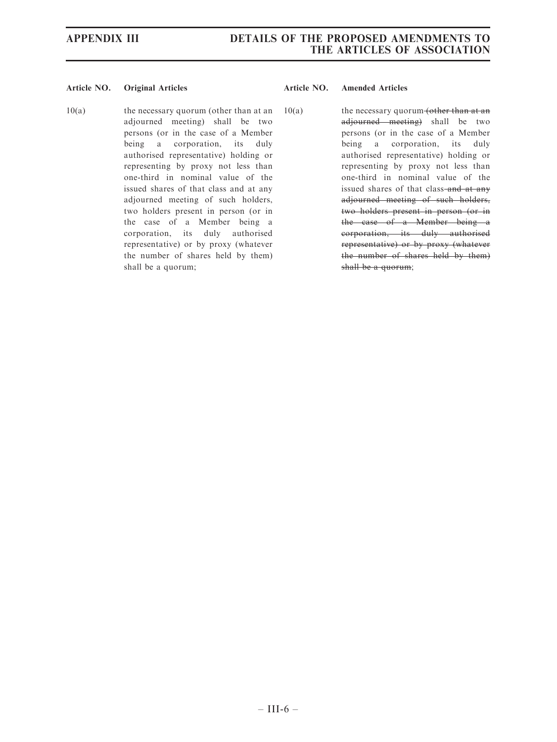10(a) the necessary quorum (other than at an adjourned meeting) shall be two persons (or in the case of a Member being a corporation, its duly authorised representative) holding or representing by proxy not less than one-third in nominal value of the issued shares of that class and at any adjourned meeting of such holders, two holders present in person (or in the case of a Member being a corporation, its duly authorised representative) or by proxy (whatever the number of shares held by them) shall be a quorum;

 $10(a)$  the necessary quorum (other than at an adjourned meeting) shall be two persons (or in the case of a Member being a corporation, its duly authorised representative) holding or representing by proxy not less than one-third in nominal value of the issued shares of that class-and at any adjourned meeting of such holders, two holders present in person (or in the case of a Member being a corporation, its duly authorised representative) or by proxy (whatever the number of shares held by them) shall be a quorum;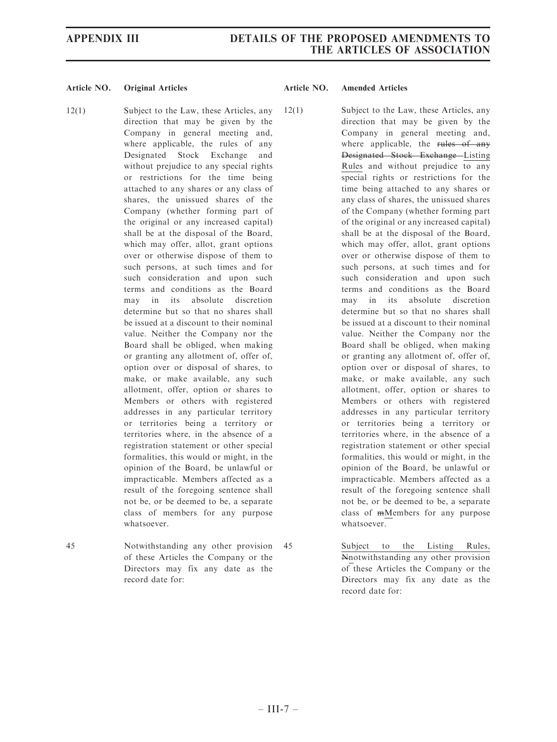- 12(1) Subject to the Law, these Articles, any direction that may be given by the Company in general meeting and, where applicable, the rules of any Designated Stock Exchange and without prejudice to any special rights or restrictions for the time being attached to any shares or any class of shares, the unissued shares of the Company (whether forming part of the original or any increased capital) shall be at the disposal of the Board, which may offer, allot, grant options over or otherwise dispose of them to such persons, at such times and for such consideration and upon such terms and conditions as the Board may in its absolute discretion determine but so that no shares shall be issued at a discount to their nominal value. Neither the Company nor the Board shall be obliged, when making or granting any allotment of, offer of, option over or disposal of shares, to make, or make available, any such allotment, offer, option or shares to Members or others with registered addresses in any particular territory or territories being a territory or territories where, in the absence of a registration statement or other special formalities, this would or might, in the opinion of the Board, be unlawful or impracticable. Members affected as a result of the foregoing sentence shall not be, or be deemed to be, a separate class of members for any purpose whatsoever.
- 45 Notwithstanding any other provision of these Articles the Company or the Directors may fix any date as the record date for:

- 12(1) Subject to the Law, these Articles, any direction that may be given by the Company in general meeting and, where applicable, the rules of any Designated Stock Exchange Listing Rules and without prejudice to any special rights or restrictions for the time being attached to any shares or any class of shares, the unissued shares of the Company (whether forming part of the original or any increased capital) shall be at the disposal of the Board, which may offer, allot, grant options over or otherwise dispose of them to such persons, at such times and for such consideration and upon such terms and conditions as the Board may in its absolute discretion determine but so that no shares shall be issued at a discount to their nominal value. Neither the Company nor the Board shall be obliged, when making or granting any allotment of, offer of, option over or disposal of shares, to make, or make available, any such allotment, offer, option or shares to Members or others with registered addresses in any particular territory or territories being a territory or territories where, in the absence of a registration statement or other special formalities, this would or might, in the opinion of the Board, be unlawful or impracticable. Members affected as a result of the foregoing sentence shall not be, or be deemed to be, a separate class of mMembers for any purpose whatsoever.
- 45 Subject to the Listing Rules, Nnotwithstanding any other provision of these Articles the Company or the Directors may fix any date as the record date for: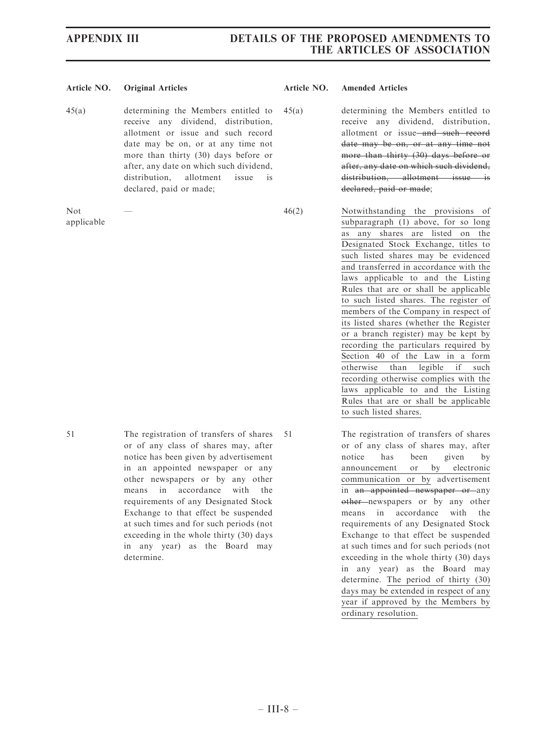45(a) determining the Members entitled to receive any dividend, distribution, allotment or issue and such record date may be on, or at any time not more than thirty (30) days before or after, any date on which such dividend, distribution, allotment issue is declared, paid or made;

Not applicable

- 45(a) determining the Members entitled to receive any dividend, distribution, allotment or issue and such record date may be on, or at any time not more than thirty (30) days before or after, any date on which such dividend, distribution, allotment issue is declared, paid or made;
- 46(2) Notwithstanding the provisions of subparagraph (1) above, for so long as any shares are listed on the Designated Stock Exchange, titles to such listed shares may be evidenced and transferred in accordance with the laws applicable to and the Listing Rules that are or shall be applicable to such listed shares. The register of members of the Company in respect of its listed shares (whether the Register or a branch register) may be kept by recording the particulars required by Section 40 of the Law in a form otherwise than legible if such recording otherwise complies with the laws applicable to and the Listing Rules that are or shall be applicable to such listed shares.
- 51 The registration of transfers of shares or of any class of shares may, after notice has been given by advertisement in an appointed newspaper or any other newspapers or by any other means in accordance with the requirements of any Designated Stock Exchange to that effect be suspended at such times and for such periods (not exceeding in the whole thirty (30) days in any year) as the Board may 51 The registration of transfers of shares or of any class of shares may, after notice has been given by announcement or by electronic communication or by advertisement in an appointed newspaper or any other newspapers or by any other means in accordance with the requirements of any Designated Stock Exchange to that effect be suspended at such times and for such periods (not exceeding in the whole thirty (30) days
	- in any year) as the Board may determine. The period of thirty (30) days may be extended in respect of any year if approved by the Members by ordinary resolution.

determine.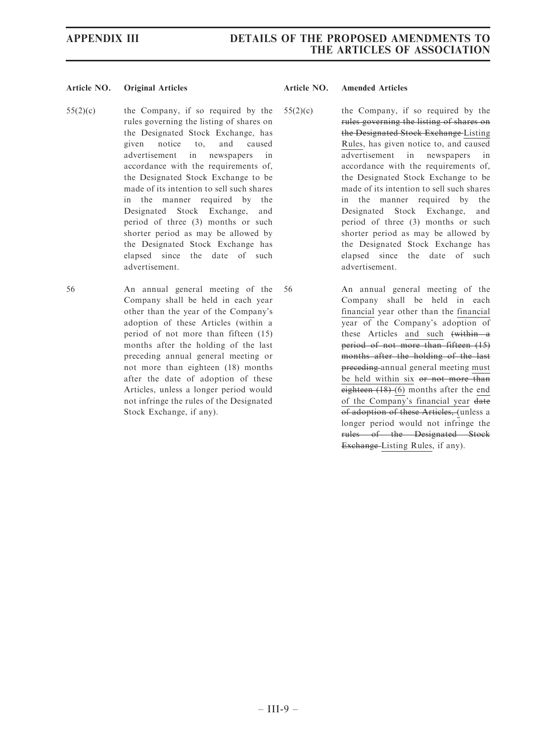55(2)(c) the Company, if so required by the rules governing the listing of shares on the Designated Stock Exchange, has given notice to, and caused advertisement in newspapers in accordance with the requirements of, the Designated Stock Exchange to be made of its intention to sell such shares in the manner required by the Designated Stock Exchange, and period of three (3) months or such shorter period as may be allowed by the Designated Stock Exchange has elapsed since the date of such advertisement.

56 An annual general meeting of the Company shall be held in each year other than the year of the Company's adoption of these Articles (within a period of not more than fifteen (15) months after the holding of the last preceding annual general meeting or not more than eighteen (18) months after the date of adoption of these Articles, unless a longer period would not infringe the rules of the Designated Stock Exchange, if any).

- 55(2)(c) the Company, if so required by the rules governing the listing of shares on the Designated Stock Exchange Listing Rules, has given notice to, and caused advertisement in newspapers in accordance with the requirements of, the Designated Stock Exchange to be made of its intention to sell such shares in the manner required by the Designated Stock Exchange, and period of three (3) months or such shorter period as may be allowed by the Designated Stock Exchange has elapsed since the date of such advertisement.
- 56 An annual general meeting of the Company shall be held in each financial year other than the financial year of the Company's adoption of these Articles and such (within a period of not more than fifteen (15) months after the holding of the last preceding annual general meeting must be held within six or not more than eighteen  $(18)$  (6) months after the end of the Company's financial year date of adoption of these Articles, (unless a longer period would not infringe the rules of the Designated Stock Exchange Listing Rules, if any).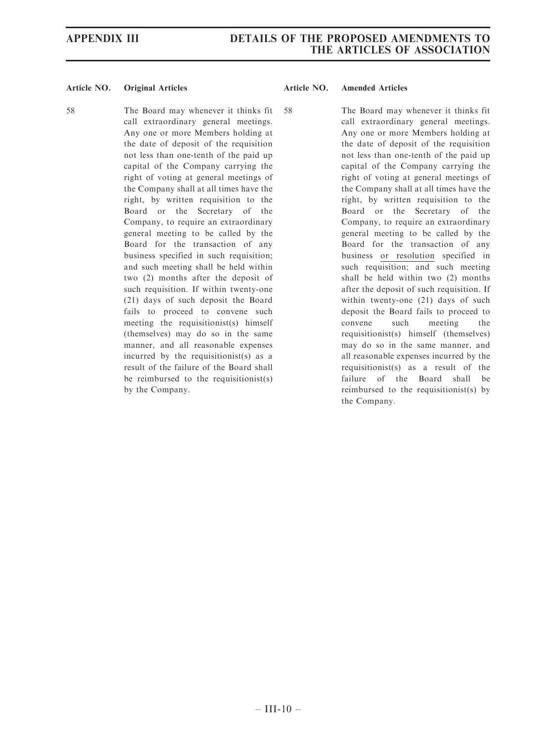58 The Board may whenever it thinks fit call extraordinary general meetings. Any one or more Members holding at the date of deposit of the requisition not less than one-tenth of the paid up capital of the Company carrying the right of voting at general meetings of the Company shall at all times have the right, by written requisition to the Board or the Secretary of the Company, to require an extraordinary general meeting to be called by the Board for the transaction of any business specified in such requisition; and such meeting shall be held within two (2) months after the deposit of such requisition. If within twenty-one (21) days of such deposit the Board fails to proceed to convene such meeting the requisitionist(s) himself (themselves) may do so in the same manner, and all reasonable expenses incurred by the requisitionist(s) as a result of the failure of the Board shall be reimbursed to the requisitionist(s) by the Company.

### Article NO. Original Articles Article NO. Amended Articles

58 The Board may whenever it thinks fit call extraordinary general meetings. Any one or more Members holding at the date of deposit of the requisition not less than one-tenth of the paid up capital of the Company carrying the right of voting at general meetings of the Company shall at all times have the right, by written requisition to the Board or the Secretary of the Company, to require an extraordinary general meeting to be called by the Board for the transaction of any business or resolution specified in such requisition; and such meeting shall be held within two (2) months after the deposit of such requisition. If within twenty-one (21) days of such deposit the Board fails to proceed to convene such meeting the requisitionist(s) himself (themselves) may do so in the same manner, and all reasonable expenses incurred by the requisitionist(s) as a result of the failure of the Board shall be reimbursed to the requisitionist(s) by the Company.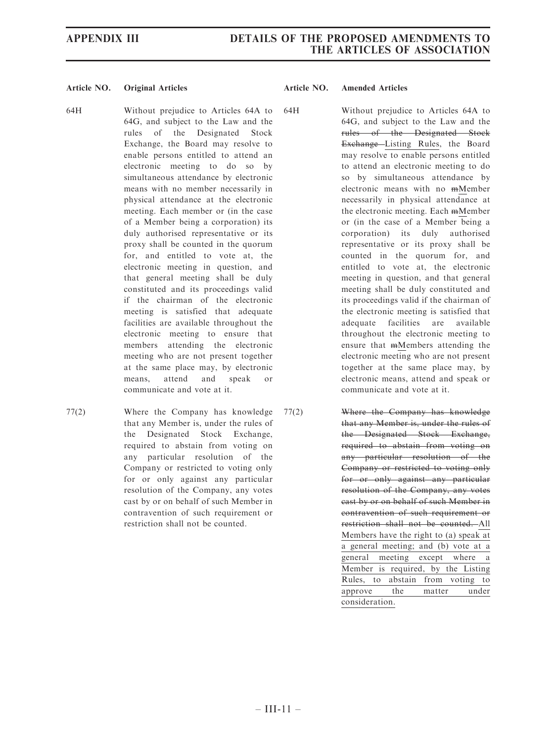- 64H Without prejudice to Articles 64A to 64G, and subject to the Law and the rules of the Designated Stock Exchange, the Board may resolve to enable persons entitled to attend an electronic meeting to do so by simultaneous attendance by electronic means with no member necessarily in physical attendance at the electronic meeting. Each member or (in the case of a Member being a corporation) its duly authorised representative or its proxy shall be counted in the quorum for, and entitled to vote at, the electronic meeting in question, and that general meeting shall be duly constituted and its proceedings valid if the chairman of the electronic meeting is satisfied that adequate facilities are available throughout the electronic meeting to ensure that members attending the electronic meeting who are not present together at the same place may, by electronic means, attend and speak or communicate and vote at it.
- 77(2) Where the Company has knowledge that any Member is, under the rules of the Designated Stock Exchange, required to abstain from voting on any particular resolution of the Company or restricted to voting only for or only against any particular resolution of the Company, any votes cast by or on behalf of such Member in contravention of such requirement or restriction shall not be counted.

64H Without prejudice to Articles 64A to 64G, and subject to the Law and the rules of the Designated Stock Exchange Listing Rules, the Board may resolve to enable persons entitled to attend an electronic meeting to do so by simultaneous attendance by electronic means with no mMember necessarily in physical attendance at the electronic meeting. Each mMember or (in the case of a Member being a corporation) its duly authorised representative or its proxy shall be counted in the quorum for, and entitled to vote at, the electronic meeting in question, and that general meeting shall be duly constituted and its proceedings valid if the chairman of the electronic meeting is satisfied that adequate facilities are available throughout the electronic meeting to ensure that mMembers attending the electronic meeting who are not present together at the same place may, by electronic means, attend and speak or communicate and vote at it.

77(2) Where the Company has knowledge that any Member is, under the rules of the Designated Stock Exchange, required to abstain from voting on any particular resolution of the Company or restricted to voting only for or only against any particular resolution of the Company, any votes cast by or on behalf of such Member in contravention of such requirement or restriction shall not be counted. All Members have the right to (a) speak at a general meeting; and (b) vote at a general meeting except where a Member is required, by the Listing Rules, to abstain from voting to approve the matter under consideration.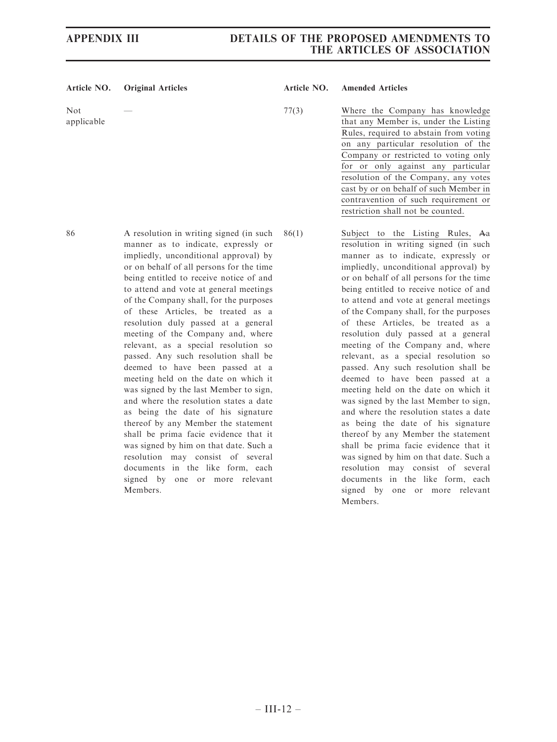## APPENDIX III DETAILS OF THE PROPOSED AMENDMENTS TO THE ARTICLES OF ASSOCIATION

### Article NO. Original Articles Article NO. Amended Articles

Not applicable

— 77(3) Where the Company has knowledge that any Member is, under the Listing Rules, required to abstain from voting on any particular resolution of the Company or restricted to voting only for or only against any particular resolution of the Company, any votes cast by or on behalf of such Member in contravention of such requirement or restriction shall not be counted.

86 A resolution in writing signed (in such manner as to indicate, expressly or impliedly, unconditional approval) by or on behalf of all persons for the time being entitled to receive notice of and to attend and vote at general meetings of the Company shall, for the purposes of these Articles, be treated as a resolution duly passed at a general meeting of the Company and, where relevant, as a special resolution so passed. Any such resolution shall be deemed to have been passed at a meeting held on the date on which it was signed by the last Member to sign, and where the resolution states a date as being the date of his signature thereof by any Member the statement shall be prima facie evidence that it was signed by him on that date. Such a resolution may consist of several documents in the like form, each signed by one or more relevant Members. 86(1) Subject to the Listing Rules, Aa resolution in writing signed (in such manner as to indicate, expressly or impliedly, unconditional approval) by or on behalf of all persons for the time being entitled to receive notice of and to attend and vote at general meetings of the Company shall, for the purposes of these Articles, be treated as a resolution duly passed at a general meeting of the Company and, where relevant, as a special resolution so passed. Any such resolution shall be deemed to have been passed at a meeting held on the date on which it was signed by the last Member to sign, and where the resolution states a date as being the date of his signature thereof by any Member the statement shall be prima facie evidence that it was signed by him on that date. Such a resolution may consist of several documents in the like form, each signed by one or more relevant Members.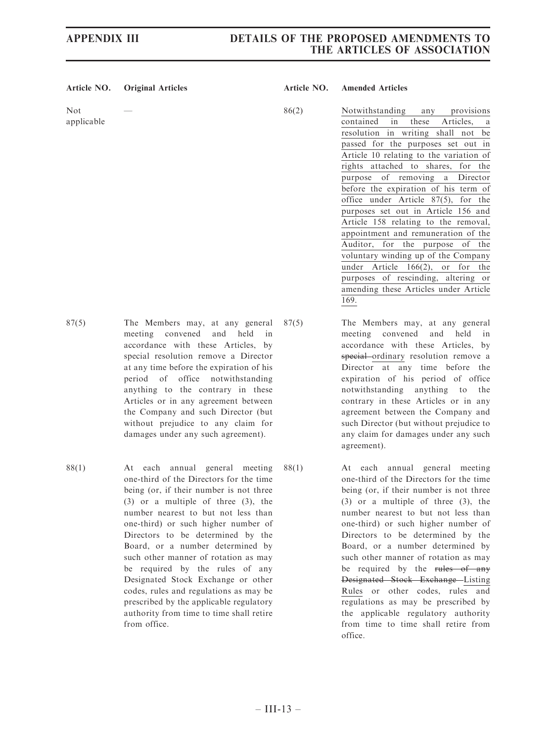## APPENDIX III DETAILS OF THE PROPOSED AMENDMENTS TO THE ARTICLES OF ASSOCIATION

| Article NO.       | <b>Original Articles</b>                                                                                                                                                                                                                                                                                                                                                                                                                    | Article NO. | <b>Amended Articles</b>                                                                                                                                                                                                                                                                                                                                                                                                                                                                                                                                                                                                                                                                                                       |
|-------------------|---------------------------------------------------------------------------------------------------------------------------------------------------------------------------------------------------------------------------------------------------------------------------------------------------------------------------------------------------------------------------------------------------------------------------------------------|-------------|-------------------------------------------------------------------------------------------------------------------------------------------------------------------------------------------------------------------------------------------------------------------------------------------------------------------------------------------------------------------------------------------------------------------------------------------------------------------------------------------------------------------------------------------------------------------------------------------------------------------------------------------------------------------------------------------------------------------------------|
| Not<br>applicable |                                                                                                                                                                                                                                                                                                                                                                                                                                             | 86(2)       | Notwithstanding<br>provisions<br>any<br>contained<br>these<br>in<br>Articles,<br>a<br>resolution in writing shall not be<br>passed for the purposes set out in<br>Article 10 relating to the variation of<br>rights attached to shares, for the<br>of removing a<br>Director<br>purpose<br>before the expiration of his term of<br>office under Article $87(5)$ , for<br>the<br>purposes set out in Article 156 and<br>Article 158 relating to the removal,<br>appointment and remuneration of the<br>Auditor.<br>for<br>the<br>purpose<br>of<br>the<br>voluntary winding up of the Company<br>under Article $166(2)$ ,<br>or for the<br>purposes of rescinding, altering or<br>amending these Articles under Article<br>169. |
| 87(5)             | The Members may, at any general<br>convened<br>held<br>meeting<br>and<br>in<br>accordance with these Articles, by<br>special resolution remove a Director<br>at any time before the expiration of his<br>office notwithstanding<br>period of<br>anything to the contrary in these<br>Articles or in any agreement between<br>the Company and such Director (but<br>without prejudice to any claim for<br>damages under any such agreement). | 87(5)       | The Members may, at any general<br>meeting convened<br>held<br>and<br>in<br>accordance with these Articles, by<br>special ordinary resolution remove a<br>Director at any time before the<br>expiration of his period of office<br>notwithstanding anything to<br>the<br>contrary in these Articles or in any<br>agreement between the Company and<br>such Director (but without prejudice to<br>any claim for damages under any such<br>agreement).                                                                                                                                                                                                                                                                          |

88(1) At each annual general meeting one-third of the Directors for the time being (or, if their number is not three (3) or a multiple of three (3), the number nearest to but not less than one-third) or such higher number of Directors to be determined by the Board, or a number determined by such other manner of rotation as may be required by the rules of any Designated Stock Exchange or other codes, rules and regulations as may be prescribed by the applicable regulatory authority from time to time shall retire from office.

88(1) At each annual general meeting one-third of the Directors for the time being (or, if their number is not three (3) or a multiple of three (3), the number nearest to but not less than one-third) or such higher number of Directors to be determined by the Board, or a number determined by such other manner of rotation as may be required by the rules of any Designated Stock Exchange Listing Rules or other codes, rules and regulations as may be prescribed by the applicable regulatory authority from time to time shall retire from office.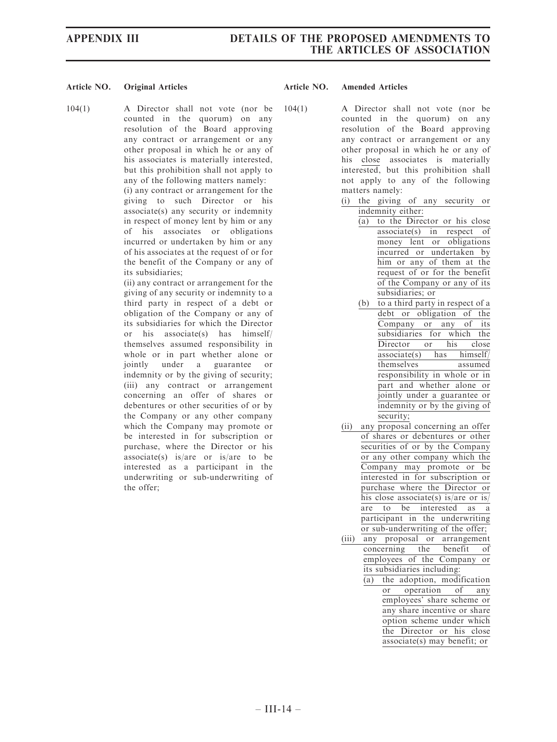### Article NO. Original Articles **Article NO. Amended Articles** Article NO. Amended Articles

104(1) A Director shall not vote (nor be counted in the quorum) on any resolution of the Board approving any contract or arrangement or any other proposal in which he or any of his associates is materially interested, but this prohibition shall not apply to any of the following matters namely: (i) any contract or arrangement for the giving to such Director or his associate(s) any security or indemnity in respect of money lent by him or any of his associates or obligations incurred or undertaken by him or any of his associates at the request of or for the benefit of the Company or any of its subsidiaries;

(ii) any contract or arrangement for the giving of any security or indemnity to a third party in respect of a debt or obligation of the Company or any of its subsidiaries for which the Director or his associate(s) has himself/ themselves assumed responsibility in whole or in part whether alone or jointly under a guarantee or indemnity or by the giving of security; (iii) any contract or arrangement concerning an offer of shares or debentures or other securities of or by the Company or any other company which the Company may promote or be interested in for subscription or purchase, where the Director or his associate(s) is/are or is/are to be interested as a participant in the underwriting or sub-underwriting of the offer;

- 104(1) A Director shall not vote (nor be counted in the quorum) on any resolution of the Board approving any contract or arrangement or any other proposal in which he or any of his close associates is materially interested, but this prohibition shall not apply to any of the following matters namely:
	- (i) the giving of any security or indemnity either:
		- (a) to the Director or his close associate(s) in respect of money lent or obligations incurred or undertaken by him or any of them at the request of or for the benefit of the Company or any of its subsidiaries; or
		- (b) to a third party in respect of a debt or obligation of the Company or any of its subsidiaries for which the Director or his close associate(s) has himself/ themselves assumed responsibility in whole or in part and whether alone or jointly under a guarantee or indemnity or by the giving of security;
	- (ii) any proposal concerning an offer of shares or debentures or other securities of or by the Company or any other company which the Company may promote or be interested in for subscription or purchase where the Director or his close associate(s) is/are or is/ are to be interested as a participant in the underwriting or sub-underwriting of the offer;
	- (iii) any proposal or arrangement concerning the benefit of employees of the Company or its subsidiaries including:
		- $\frac{a}{\alpha}$  the adoption, modification<br>or operation of any or operation employees' share scheme or any share incentive or share option scheme under which the Director or his close associate(s) may benefit; or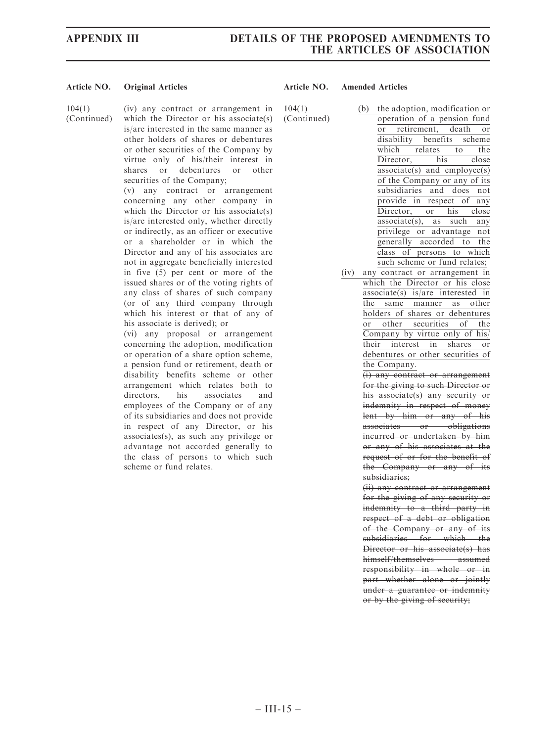### APPENDIX III DETAILS OF THE PROPOSED AMENDMENTS TO THE ARTICLES OF ASSOCIATION

### Article NO. Original Articles **Article NO. Amended Articles** Article NO. Amended Articles

104(1)

(Continued)

(iv) any contract or arrangement in which the Director or his associate(s) is/are interested in the same manner as other holders of shares or debentures or other securities of the Company by virtue only of his/their interest in shares or debentures or other securities of the Company;

(v) any contract or arrangement concerning any other company in which the Director or his associate(s) is/are interested only, whether directly or indirectly, as an officer or executive or a shareholder or in which the Director and any of his associates are not in aggregate beneficially interested in five (5) per cent or more of the issued shares or of the voting rights of any class of shares of such company (or of any third company through which his interest or that of any of his associate is derived); or

(vi) any proposal or arrangement concerning the adoption, modification or operation of a share option scheme, a pension fund or retirement, death or disability benefits scheme or other arrangement which relates both to directors, his associates and employees of the Company or of any of its subsidiaries and does not provide in respect of any Director, or his associates(s), as such any privilege or advantage not accorded generally to the class of persons to which such scheme or fund relates.

104(1) (Continued) (b) the adoption, modification or operation of a pension fund or retirement, death or disability benefits scheme which relates to the Director, his close associate(s) and employee(s) of the Company or any of its subsidiaries and does not provide in respect of any Director, or his close  $\overline{associate(s)}$ , as such any privilege or advantage not generally accorded to the class of persons to which such scheme or fund relates;

(iv) any contract or arrangement in which the Director or his close associate(s) is/are interested in the same manner as other holders of shares or debentures or other securities of the Company by virtue only of his/ their interest in shares or debentures or other securities of the Company.

> (i) any contract or arrangement for the giving to such Director or his associate(s) any security or indemnity in respect of money lent by him or any of his associates or obligations incurred or undertaken by him or any of his associates at the request of or for the benefit of the Company or any of its subsidiaries;

> (ii) any contract or arrangement for the giving of any security or indemnity to a third party in respect of a debt or obligation of the Company or any of its subsidiaries for which the Director or his associate(s) has himself/themselves assumed responsibility in whole or in part whether alone or jointly under a guarantee or indemnity or by the giving of security;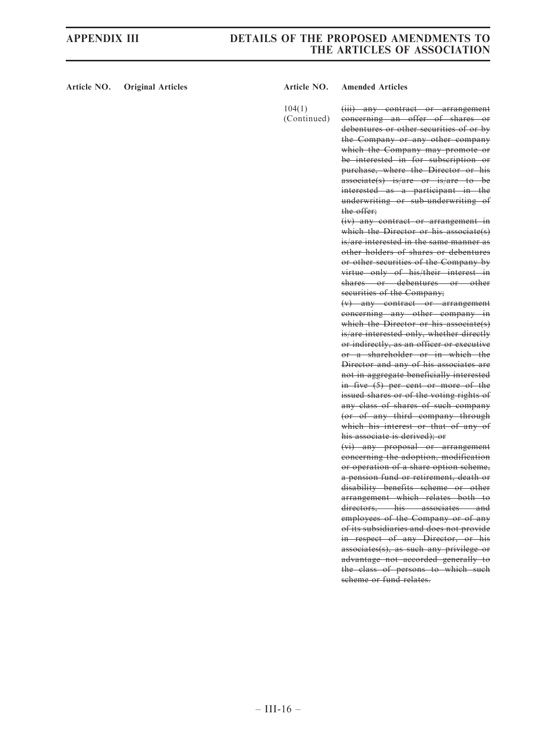## APPENDIX III DETAILS OF THE PROPOSED AMENDMENTS TO THE ARTICLES OF ASSOCIATION

### Article NO. Original Articles **Article NO. Amended Articles** Article NO. Amended Articles

104(1)

(Continued) (iii) any contract or arrangement concerning an offer of shares or debentures or other securities of or by the Company or any other company which the Company may promote or be interested in for subscription or purchase, where the Director or his associate(s) is/are or is/are to be interested as a participant in the underwriting or sub-underwriting of the offer;

> (iv) any contract or arrangement in which the Director or his associate(s) is/are interested in the same manner as other holders of shares or debentures or other securities of the Company by virtue only of his/their interest in shares or debentures or other securities of the Company;

> (v) any contract or arrangement concerning any other company in which the Director or his associate(s) is/are interested only, whether directly or indirectly, as an officer or executive or a shareholder or in which the Director and any of his associates are not in aggregate beneficially interested in five (5) per cent or more of the issued shares or of the voting rights of any class of shares of such company (or of any third company through which his interest or that of any of his associate is derived); or

> (vi) any proposal or arrangement concerning the adoption, modification or operation of a share option scheme, a pension fund or retirement, death or disability benefits scheme or other arrangement which relates both to directors, his associates and employees of the Company or of any of its subsidiaries and does not provide in respect of any Director, or his associates(s), as such any privilege or advantage not accorded generally to the class of persons to which such scheme or fund relates.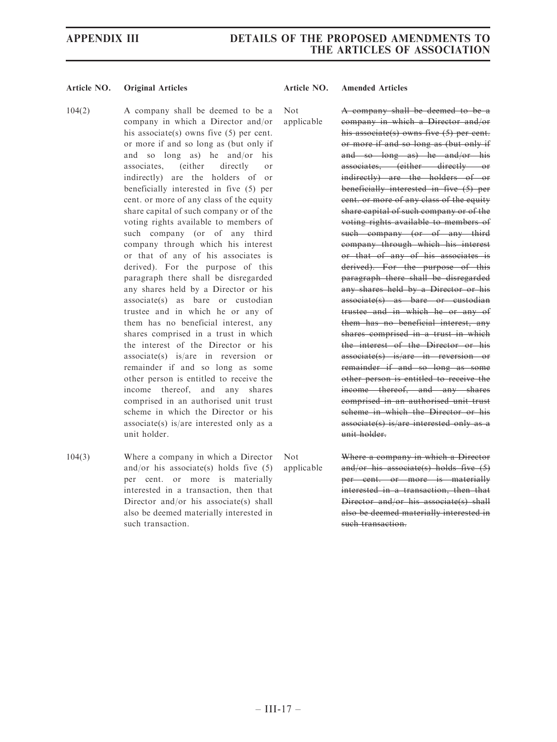- 104(2) A company shall be deemed to be a company in which a Director and/or his associate(s) owns five (5) per cent. or more if and so long as (but only if and so long as) he and/or his associates, (either directly or indirectly) are the holders of or beneficially interested in five (5) per cent. or more of any class of the equity share capital of such company or of the voting rights available to members of such company (or of any third company through which his interest or that of any of his associates is derived). For the purpose of this paragraph there shall be disregarded any shares held by a Director or his associate(s) as bare or custodian trustee and in which he or any of them has no beneficial interest, any shares comprised in a trust in which the interest of the Director or his associate(s) is/are in reversion or remainder if and so long as some other person is entitled to receive the income thereof, and any shares comprised in an authorised unit trust scheme in which the Director or his associate(s) is/are interested only as a unit holder. Not applicable
- 104(3) Where a company in which a Director and/or his associate(s) holds five (5) per cent. or more is materially interested in a transaction, then that Director and/or his associate(s) shall also be deemed materially interested in such transaction. Not

A company shall be deemed to be a company in which a Director and/or his associate(s) owns five (5) per cent. or more if and so long as (but only if and so long as) he and/or his associates, (either directly or indirectly) are the holders of or beneficially interested in five (5) per cent. or more of any class of the equity share capital of such company or of the voting rights available to members of such company (or of any third company through which his interest or that of any of his associates is derived). For the purpose of this paragraph there shall be disregarded any shares held by a Director or his associate(s) as bare or custodian trustee and in which he or any of them has no beneficial interest, any shares comprised in a trust in which the interest of the Director or his associate(s) is/are in reversion or remainder if and so long as some other person is entitled to receive the income thereof, and any shares comprised in an authorised unit trust scheme in which the Director or his associate(s) is/are interested only as a unit holder.

applicable Where a company in which a Director and/or his associate(s) holds five (5) per cent. or more is materially interested in a transaction, then that Director and/or his associate(s) shall also be deemed materially interested in

such transaction.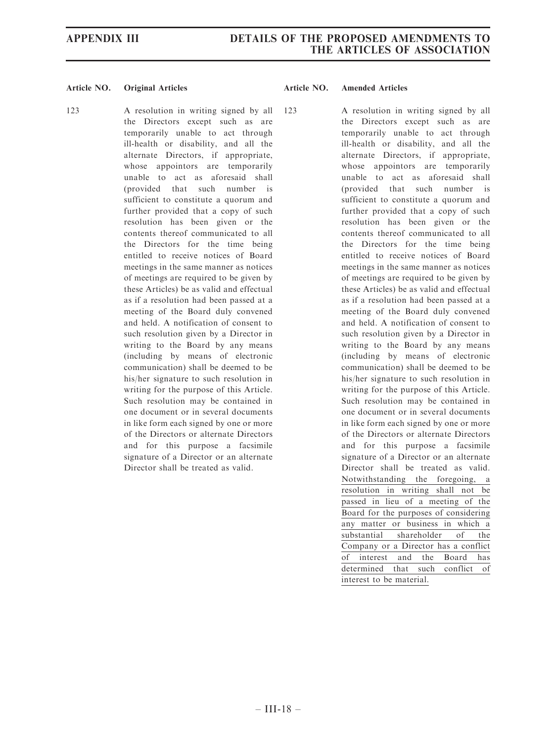123 A resolution in writing signed by all the Directors except such as are temporarily unable to act through ill-health or disability, and all the alternate Directors, if appropriate, whose appointors are temporarily unable to act as aforesaid shall (provided that such number is sufficient to constitute a quorum and further provided that a copy of such resolution has been given or the contents thereof communicated to all the Directors for the time being entitled to receive notices of Board meetings in the same manner as notices of meetings are required to be given by these Articles) be as valid and effectual as if a resolution had been passed at a meeting of the Board duly convened and held. A notification of consent to such resolution given by a Director in writing to the Board by any means (including by means of electronic communication) shall be deemed to be his/her signature to such resolution in writing for the purpose of this Article. Such resolution may be contained in one document or in several documents in like form each signed by one or more of the Directors or alternate Directors and for this purpose a facsimile signature of a Director or an alternate Director shall be treated as valid.

123 A resolution in writing signed by all the Directors except such as are temporarily unable to act through ill-health or disability, and all the alternate Directors, if appropriate, whose appointors are temporarily unable to act as aforesaid shall (provided that such number is sufficient to constitute a quorum and further provided that a copy of such resolution has been given or the contents thereof communicated to all the Directors for the time being entitled to receive notices of Board meetings in the same manner as notices of meetings are required to be given by these Articles) be as valid and effectual as if a resolution had been passed at a meeting of the Board duly convened and held. A notification of consent to such resolution given by a Director in writing to the Board by any means (including by means of electronic communication) shall be deemed to be his/her signature to such resolution in writing for the purpose of this Article. Such resolution may be contained in one document or in several documents in like form each signed by one or more of the Directors or alternate Directors and for this purpose a facsimile signature of a Director or an alternate Director shall be treated as valid. Notwithstanding the foregoing, a resolution in writing shall not be passed in lieu of a meeting of the Board for the purposes of considering any matter or business in which a substantial shareholder of the Company or a Director has a conflict of interest and the Board has determined that such conflict of interest to be material.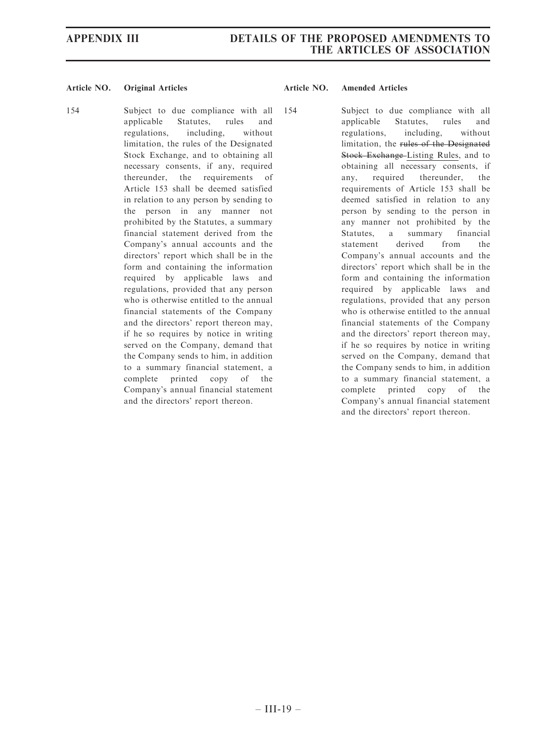154 Subject to due compliance with all applicable Statutes, rules and regulations, including, without limitation, the rules of the Designated Stock Exchange, and to obtaining all necessary consents, if any, required thereunder, the requirements of Article 153 shall be deemed satisfied in relation to any person by sending to the person in any manner not prohibited by the Statutes, a summary financial statement derived from the Company's annual accounts and the directors' report which shall be in the form and containing the information required by applicable laws and regulations, provided that any person who is otherwise entitled to the annual financial statements of the Company and the directors' report thereon may, if he so requires by notice in writing served on the Company, demand that the Company sends to him, in addition to a summary financial statement, a complete printed copy of the Company's annual financial statement and the directors' report thereon.

154 Subject to due compliance with all applicable Statutes, rules and regulations, including, without limitation, the rules of the Designated Stock Exchange-Listing Rules, and to obtaining all necessary consents, if any, required thereunder, the requirements of Article 153 shall be deemed satisfied in relation to any person by sending to the person in any manner not prohibited by the Statutes, a summary financial statement derived from the Company's annual accounts and the directors' report which shall be in the form and containing the information required by applicable laws and regulations, provided that any person who is otherwise entitled to the annual financial statements of the Company and the directors' report thereon may, if he so requires by notice in writing served on the Company, demand that the Company sends to him, in addition to a summary financial statement, a complete printed copy of the Company's annual financial statement and the directors' report thereon.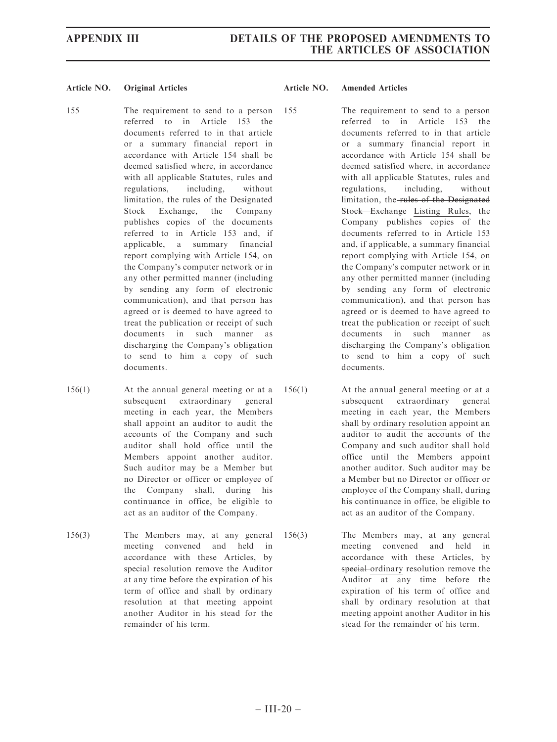- 155 The requirement to send to a person referred to in Article 153 the documents referred to in that article or a summary financial report in accordance with Article 154 shall be deemed satisfied where, in accordance with all applicable Statutes, rules and regulations, including, without limitation, the rules of the Designated Stock Exchange, the Company publishes copies of the documents referred to in Article 153 and, if applicable, a summary financial report complying with Article 154, on the Company's computer network or in any other permitted manner (including by sending any form of electronic communication), and that person has agreed or is deemed to have agreed to treat the publication or receipt of such documents in such manner as discharging the Company's obligation to send to him a copy of such documents.
- 156(1) At the annual general meeting or at a subsequent extraordinary general meeting in each year, the Members shall appoint an auditor to audit the accounts of the Company and such auditor shall hold office until the Members appoint another auditor. Such auditor may be a Member but no Director or officer or employee of the Company shall, during his continuance in office, be eligible to act as an auditor of the Company.
- 156(3) The Members may, at any general meeting convened and held in accordance with these Articles, by special resolution remove the Auditor at any time before the expiration of his term of office and shall by ordinary resolution at that meeting appoint another Auditor in his stead for the remainder of his term.

- 155 The requirement to send to a person referred to in Article 153 the documents referred to in that article or a summary financial report in accordance with Article 154 shall be deemed satisfied where, in accordance with all applicable Statutes, rules and regulations, including, without limitation, the rules of the Designated Stock Exchange Listing Rules, the Company publishes copies of the documents referred to in Article 153 and, if applicable, a summary financial report complying with Article 154, on the Company's computer network or in any other permitted manner (including by sending any form of electronic communication), and that person has agreed or is deemed to have agreed to treat the publication or receipt of such documents in such manner as discharging the Company's obligation to send to him a copy of such documents.
- 156(1) At the annual general meeting or at a subsequent extraordinary general meeting in each year, the Members shall by ordinary resolution appoint an auditor to audit the accounts of the Company and such auditor shall hold office until the Members appoint another auditor. Such auditor may be a Member but no Director or officer or employee of the Company shall, during his continuance in office, be eligible to act as an auditor of the Company.
- 156(3) The Members may, at any general meeting convened and held in accordance with these Articles, by special ordinary resolution remove the Auditor at any time before the expiration of his term of office and shall by ordinary resolution at that meeting appoint another Auditor in his stead for the remainder of his term.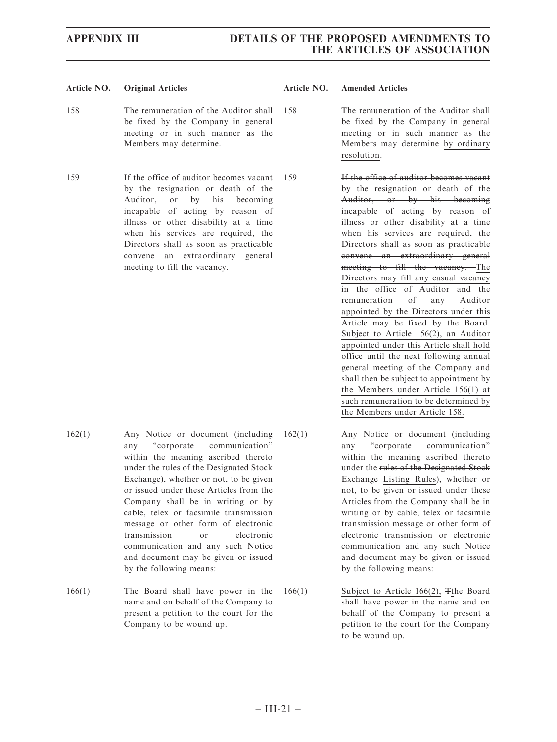- 158 The remuneration of the Auditor shall be fixed by the Company in general meeting or in such manner as the Members may determine.
- 159 If the office of auditor becomes vacant by the resignation or death of the Auditor, or by his becoming incapable of acting by reason of illness or other disability at a time when his services are required, the Directors shall as soon as practicable convene an extraordinary general meeting to fill the vacancy.

- 158 The remuneration of the Auditor shall be fixed by the Company in general meeting or in such manner as the Members may determine by ordinary resolution.
- 159 If the office of auditor becomes vacant by the resignation or death of the Auditor, or by his becoming incapable of acting by reason of illness or other disability at a time when his services are required, the Directors shall as soon as practicable convene an extraordinary general meeting to fill the vacancy. The Directors may fill any casual vacancy in the office of Auditor and the remuneration of any Auditor appointed by the Directors under this Article may be fixed by the Board. Subject to Article 156(2), an Auditor appointed under this Article shall hold office until the next following annual general meeting of the Company and shall then be subject to appointment by the Members under Article 156(1) at such remuneration to be determined by the Members under Article 158.
- 162(1) Any Notice or document (including any ''corporate communication'' within the meaning ascribed thereto under the rules of the Designated Stock Exchange), whether or not, to be given or issued under these Articles from the Company shall be in writing or by cable, telex or facsimile transmission message or other form of electronic transmission or electronic communication and any such Notice and document may be given or issued by the following means:
- 166(1) The Board shall have power in the name and on behalf of the Company to present a petition to the court for the Company to be wound up.
- 162(1) Any Notice or document (including any ''corporate communication'' within the meaning ascribed thereto under the rules of the Designated Stock Exchange Listing Rules), whether or not, to be given or issued under these Articles from the Company shall be in writing or by cable, telex or facsimile transmission message or other form of electronic transmission or electronic communication and any such Notice and document may be given or issued by the following means:
	- 166(1) Subject to Article 166(2), Tthe Board shall have power in the name and on behalf of the Company to present a petition to the court for the Company to be wound up.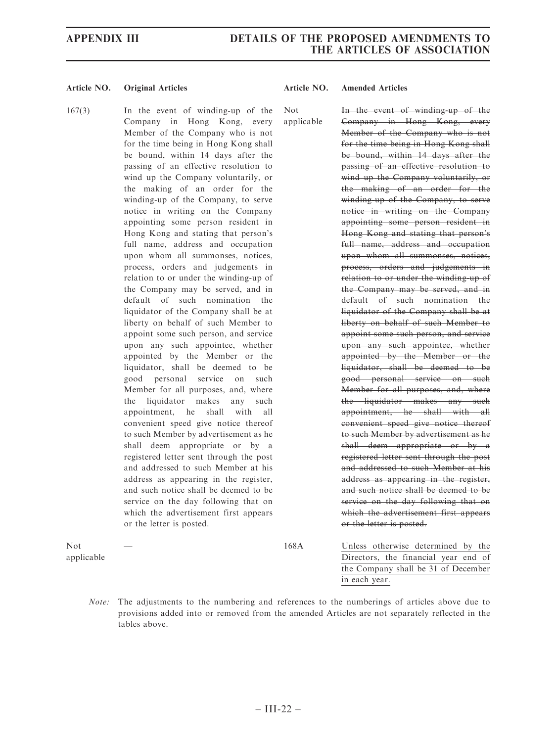167(3) In the event of winding-up of the Company in Hong Kong, every Member of the Company who is not for the time being in Hong Kong shall be bound, within 14 days after the passing of an effective resolution to wind up the Company voluntarily, or the making of an order for the winding-up of the Company, to serve notice in writing on the Company appointing some person resident in Hong Kong and stating that person's full name, address and occupation upon whom all summonses, notices, process, orders and judgements in relation to or under the winding-up of the Company may be served, and in default of such nomination the liquidator of the Company shall be at liberty on behalf of such Member to appoint some such person, and service upon any such appointee, whether appointed by the Member or the liquidator, shall be deemed to be good personal service on such Member for all purposes, and, where the liquidator makes any such appointment, he shall with all convenient speed give notice thereof to such Member by advertisement as he shall deem appropriate or by a registered letter sent through the post and addressed to such Member at his address as appearing in the register, and such notice shall be deemed to be service on the day following that on which the advertisement first appears or the letter is posted. Not applicable

In the event of winding-up of the Company in Hong Kong, every Member of the Company who is not for the time being in Hong Kong shall be bound, within 14 days after the passing of an effective resolution to wind up the Company voluntarily, or the making of an order for the winding-up of the Company, to serve notice in writing on the Company appointing some person resident in Hong Kong and stating that person's full name, address and occupation upon whom all summonses, notices, process, orders and judgements in relation to or under the winding-up of the Company may be served, and in default of such nomination the liquidator of the Company shall be at liberty on behalf of such Member to appoint some such person, and service upon any such appointee, whether appointed by the Member or the liquidator, shall be deemed to be good personal service on such Member for all purposes, and, where the liquidator makes any such appointment, he shall with all convenient speed give notice thereof to such Member by advertisement as he shall deem appropriate or by a registered letter sent through the post and addressed to such Member at his address as appearing in the register, and such notice shall be deemed to be service on the day following that on which the advertisement first appears or the letter is posted.

Not applicable

168A Unless otherwise determined by the Directors, the financial year end of the Company shall be 31 of December in each year.

Note: The adjustments to the numbering and references to the numberings of articles above due to provisions added into or removed from the amended Articles are not separately reflected in the tables above.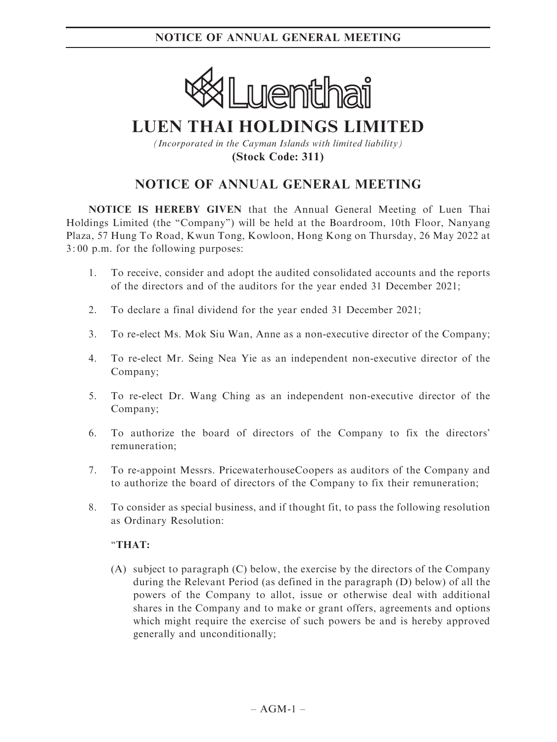

# **LUEN THAI HOLDINGS LIMITED**

*(Incorporated in the Cayman Islands with limited liability)* **(Stock Code: 311)**

# NOTICE OF ANNUAL GENERAL MEETING

NOTICE IS HEREBY GIVEN that the Annual General Meeting of Luen Thai Holdings Limited (the ''Company'') will be held at the Boardroom, 10th Floor, Nanyang Plaza, 57 Hung To Road, Kwun Tong, Kowloon, Hong Kong on Thursday, 26 May 2022 at 3: 00 p.m. for the following purposes:

- 1. To receive, consider and adopt the audited consolidated accounts and the reports of the directors and of the auditors for the year ended 31 December 2021;
- 2. To declare a final dividend for the year ended 31 December 2021;
- 3. To re-elect Ms. Mok Siu Wan, Anne as a non-executive director of the Company;
- 4. To re-elect Mr. Seing Nea Yie as an independent non-executive director of the Company;
- 5. To re-elect Dr. Wang Ching as an independent non-executive director of the Company;
- 6. To authorize the board of directors of the Company to fix the directors' remuneration;
- 7. To re-appoint Messrs. PricewaterhouseCoopers as auditors of the Company and to authorize the board of directors of the Company to fix their remuneration;
- 8. To consider as special business, and if thought fit, to pass the following resolution as Ordinary Resolution:

## ''THAT:

(A) subject to paragraph (C) below, the exercise by the directors of the Company during the Relevant Period (as defined in the paragraph (D) below) of all the powers of the Company to allot, issue or otherwise deal with additional shares in the Company and to make or grant offers, agreements and options which might require the exercise of such powers be and is hereby approved generally and unconditionally;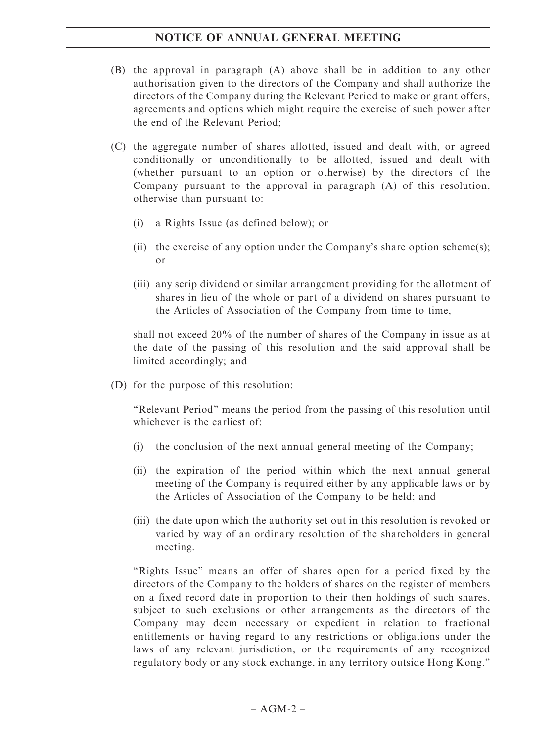- (B) the approval in paragraph (A) above shall be in addition to any other authorisation given to the directors of the Company and shall authorize the directors of the Company during the Relevant Period to make or grant offers, agreements and options which might require the exercise of such power after the end of the Relevant Period;
- (C) the aggregate number of shares allotted, issued and dealt with, or agreed conditionally or unconditionally to be allotted, issued and dealt with (whether pursuant to an option or otherwise) by the directors of the Company pursuant to the approval in paragraph (A) of this resolution, otherwise than pursuant to:
	- (i) a Rights Issue (as defined below); or
	- (ii) the exercise of any option under the Company's share option scheme(s); or
	- (iii) any scrip dividend or similar arrangement providing for the allotment of shares in lieu of the whole or part of a dividend on shares pursuant to the Articles of Association of the Company from time to time,

shall not exceed 20% of the number of shares of the Company in issue as at the date of the passing of this resolution and the said approval shall be limited accordingly; and

(D) for the purpose of this resolution:

''Relevant Period'' means the period from the passing of this resolution until whichever is the earliest of:

- (i) the conclusion of the next annual general meeting of the Company;
- (ii) the expiration of the period within which the next annual general meeting of the Company is required either by any applicable laws or by the Articles of Association of the Company to be held; and
- (iii) the date upon which the authority set out in this resolution is revoked or varied by way of an ordinary resolution of the shareholders in general meeting.

''Rights Issue'' means an offer of shares open for a period fixed by the directors of the Company to the holders of shares on the register of members on a fixed record date in proportion to their then holdings of such shares, subject to such exclusions or other arrangements as the directors of the Company may deem necessary or expedient in relation to fractional entitlements or having regard to any restrictions or obligations under the laws of any relevant jurisdiction, or the requirements of any recognized regulatory body or any stock exchange, in any territory outside Hong Kong.''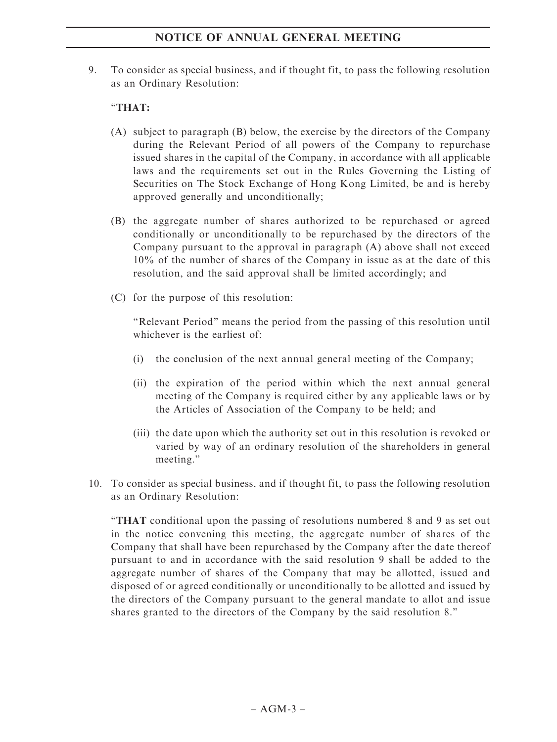9. To consider as special business, and if thought fit, to pass the following resolution as an Ordinary Resolution:

# ''THAT:

- (A) subject to paragraph (B) below, the exercise by the directors of the Company during the Relevant Period of all powers of the Company to repurchase issued shares in the capital of the Company, in accordance with all applicable laws and the requirements set out in the Rules Governing the Listing of Securities on The Stock Exchange of Hong Kong Limited, be and is hereby approved generally and unconditionally;
- (B) the aggregate number of shares authorized to be repurchased or agreed conditionally or unconditionally to be repurchased by the directors of the Company pursuant to the approval in paragraph (A) above shall not exceed 10% of the number of shares of the Company in issue as at the date of this resolution, and the said approval shall be limited accordingly; and
- (C) for the purpose of this resolution:

''Relevant Period'' means the period from the passing of this resolution until whichever is the earliest of:

- (i) the conclusion of the next annual general meeting of the Company;
- (ii) the expiration of the period within which the next annual general meeting of the Company is required either by any applicable laws or by the Articles of Association of the Company to be held; and
- (iii) the date upon which the authority set out in this resolution is revoked or varied by way of an ordinary resolution of the shareholders in general meeting.''
- 10. To consider as special business, and if thought fit, to pass the following resolution as an Ordinary Resolution:

''THAT conditional upon the passing of resolutions numbered 8 and 9 as set out in the notice convening this meeting, the aggregate number of shares of the Company that shall have been repurchased by the Company after the date thereof pursuant to and in accordance with the said resolution 9 shall be added to the aggregate number of shares of the Company that may be allotted, issued and disposed of or agreed conditionally or unconditionally to be allotted and issued by the directors of the Company pursuant to the general mandate to allot and issue shares granted to the directors of the Company by the said resolution 8.''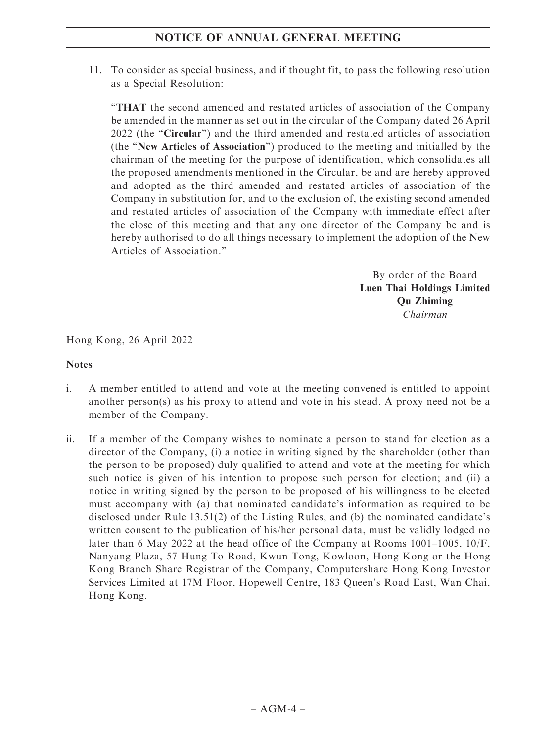11. To consider as special business, and if thought fit, to pass the following resolution as a Special Resolution:

''THAT the second amended and restated articles of association of the Company be amended in the manner as set out in the circular of the Company dated 26 April 2022 (the "Circular") and the third amended and restated articles of association (the ''New Articles of Association'') produced to the meeting and initialled by the chairman of the meeting for the purpose of identification, which consolidates all the proposed amendments mentioned in the Circular, be and are hereby approved and adopted as the third amended and restated articles of association of the Company in substitution for, and to the exclusion of, the existing second amended and restated articles of association of the Company with immediate effect after the close of this meeting and that any one director of the Company be and is hereby authorised to do all things necessary to implement the adoption of the New Articles of Association.''

> By order of the Board Luen Thai Holdings Limited Qu Zhiming Chairman

Hong Kong, 26 April 2022

### Notes

- i. A member entitled to attend and vote at the meeting convened is entitled to appoint another person(s) as his proxy to attend and vote in his stead. A proxy need not be a member of the Company.
- ii. If a member of the Company wishes to nominate a person to stand for election as a director of the Company, (i) a notice in writing signed by the shareholder (other than the person to be proposed) duly qualified to attend and vote at the meeting for which such notice is given of his intention to propose such person for election; and (ii) a notice in writing signed by the person to be proposed of his willingness to be elected must accompany with (a) that nominated candidate's information as required to be disclosed under Rule 13.51(2) of the Listing Rules, and (b) the nominated candidate's written consent to the publication of his/her personal data, must be validly lodged no later than 6 May 2022 at the head office of the Company at Rooms 1001–1005, 10/F, Nanyang Plaza, 57 Hung To Road, Kwun Tong, Kowloon, Hong Kong or the Hong Kong Branch Share Registrar of the Company, Computershare Hong Kong Investor Services Limited at 17M Floor, Hopewell Centre, 183 Queen's Road East, Wan Chai, Hong Kong.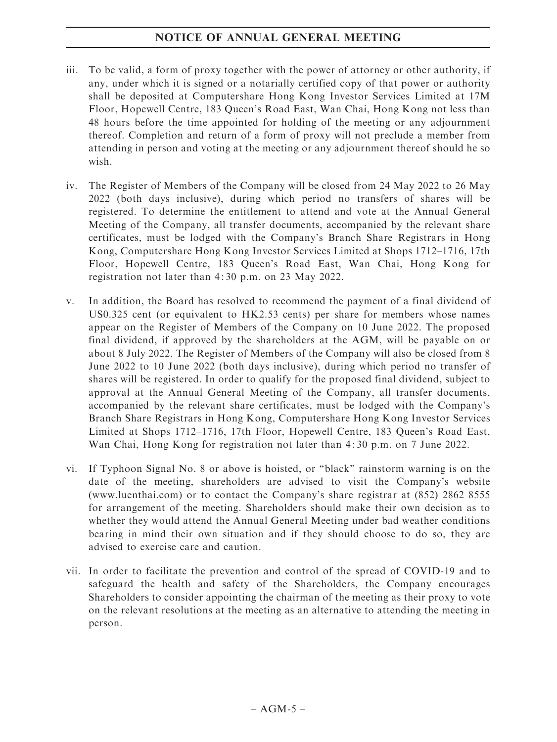- iii. To be valid, a form of proxy together with the power of attorney or other authority, if any, under which it is signed or a notarially certified copy of that power or authority shall be deposited at Computershare Hong Kong Investor Services Limited at 17M Floor, Hopewell Centre, 183 Queen's Road East, Wan Chai, Hong Kong not less than 48 hours before the time appointed for holding of the meeting or any adjournment thereof. Completion and return of a form of proxy will not preclude a member from attending in person and voting at the meeting or any adjournment thereof should he so wish.
- iv. The Register of Members of the Company will be closed from 24 May 2022 to 26 May 2022 (both days inclusive), during which period no transfers of shares will be registered. To determine the entitlement to attend and vote at the Annual General Meeting of the Company, all transfer documents, accompanied by the relevant share certificates, must be lodged with the Company's Branch Share Registrars in Hong Kong, Computershare Hong Kong Investor Services Limited at Shops 1712–1716, 17th Floor, Hopewell Centre, 183 Queen's Road East, Wan Chai, Hong Kong for registration not later than 4: 30 p.m. on 23 May 2022.
- v. In addition, the Board has resolved to recommend the payment of a final dividend of US0.325 cent (or equivalent to HK2.53 cents) per share for members whose names appear on the Register of Members of the Company on 10 June 2022. The proposed final dividend, if approved by the shareholders at the AGM, will be payable on or about 8 July 2022. The Register of Members of the Company will also be closed from 8 June 2022 to 10 June 2022 (both days inclusive), during which period no transfer of shares will be registered. In order to qualify for the proposed final dividend, subject to approval at the Annual General Meeting of the Company, all transfer documents, accompanied by the relevant share certificates, must be lodged with the Company's Branch Share Registrars in Hong Kong, Computershare Hong Kong Investor Services Limited at Shops 1712–1716, 17th Floor, Hopewell Centre, 183 Queen's Road East, Wan Chai, Hong Kong for registration not later than 4:30 p.m. on 7 June 2022.
- vi. If Typhoon Signal No. 8 or above is hoisted, or ''black'' rainstorm warning is on the date of the meeting, shareholders are advised to visit the Company's website (www.luenthai.com) or to contact the Company's share registrar at (852) 2862 8555 for arrangement of the meeting. Shareholders should make their own decision as to whether they would attend the Annual General Meeting under bad weather conditions bearing in mind their own situation and if they should choose to do so, they are advised to exercise care and caution.
- vii. In order to facilitate the prevention and control of the spread of COVID-19 and to safeguard the health and safety of the Shareholders, the Company encourages Shareholders to consider appointing the chairman of the meeting as their proxy to vote on the relevant resolutions at the meeting as an alternative to attending the meeting in person.